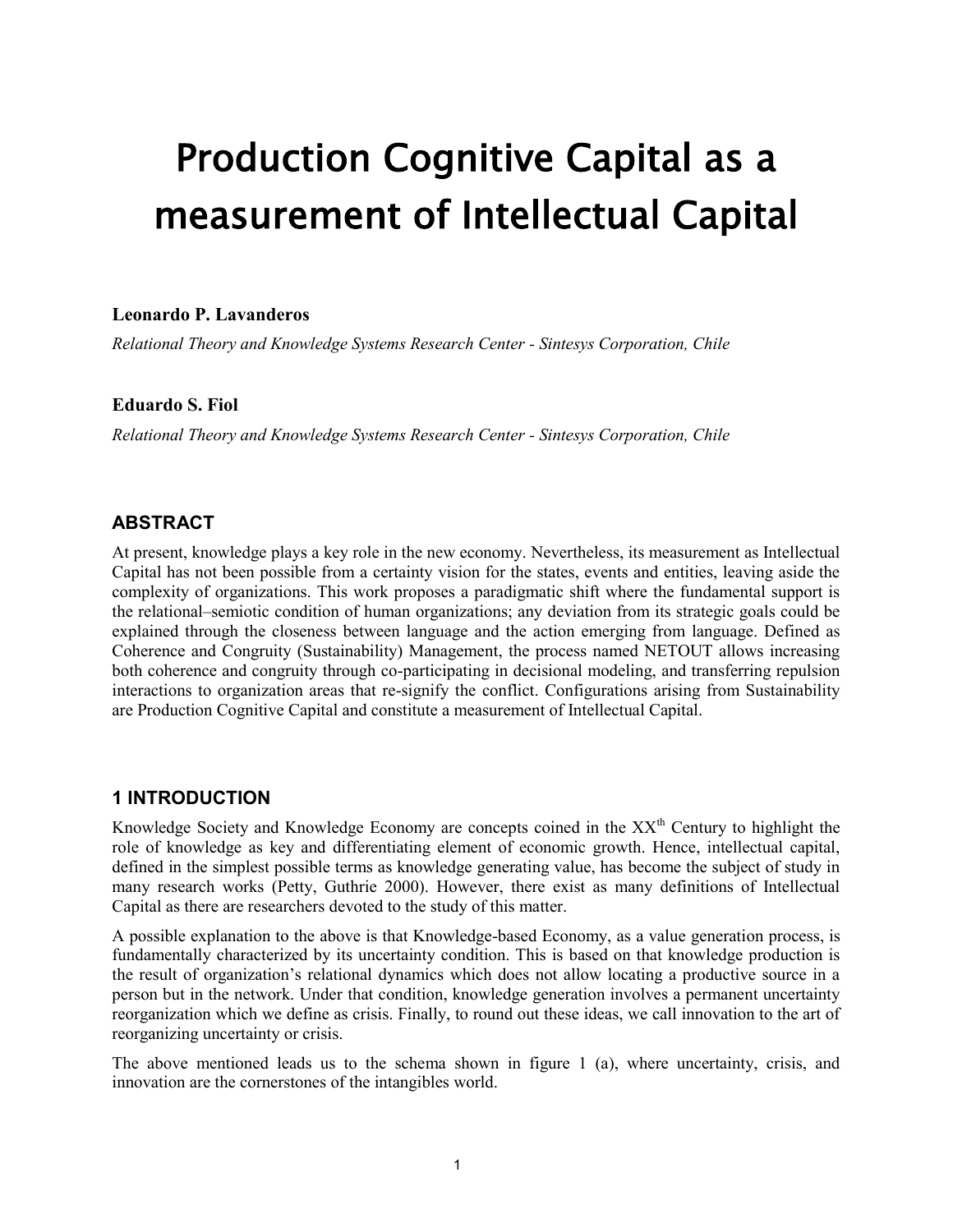# Production Cognitive Capital as a measurement of Intellectual Capital

#### **Leonardo P. Lavanderos**

*Relational Theory and Knowledge Systems Research Center - Sintesys Corporation, Chile*

#### **Eduardo S. Fiol**

*Relational Theory and Knowledge Systems Research Center - Sintesys Corporation, Chile*

## **ABSTRACT**

At present, knowledge plays a key role in the new economy. Nevertheless, its measurement as Intellectual Capital has not been possible from a certainty vision for the states, events and entities, leaving aside the complexity of organizations. This work proposes a paradigmatic shift where the fundamental support is the relational–semiotic condition of human organizations; any deviation from its strategic goals could be explained through the closeness between language and the action emerging from language. Defined as Coherence and Congruity (Sustainability) Management, the process named NETOUT allows increasing both coherence and congruity through co-participating in decisional modeling, and transferring repulsion interactions to organization areas that re-signify the conflict. Configurations arising from Sustainability are Production Cognitive Capital and constitute a measurement of Intellectual Capital.

## **1 INTRODUCTION**

Knowledge Society and Knowledge Economy are concepts coined in the  $XX<sup>th</sup>$  Century to highlight the role of knowledge as key and differentiating element of economic growth. Hence, intellectual capital, defined in the simplest possible terms as knowledge generating value, has become the subject of study in many research works (Petty, Guthrie 2000). However, there exist as many definitions of Intellectual Capital as there are researchers devoted to the study of this matter.

A possible explanation to the above is that Knowledge-based Economy, as a value generation process, is fundamentally characterized by its uncertainty condition. This is based on that knowledge production is the result of organization's relational dynamics which does not allow locating a productive source in a person but in the network. Under that condition, knowledge generation involves a permanent uncertainty reorganization which we define as crisis. Finally, to round out these ideas, we call innovation to the art of reorganizing uncertainty or crisis.

The above mentioned leads us to the schema shown in figure 1 (a), where uncertainty, crisis, and innovation are the cornerstones of the intangibles world.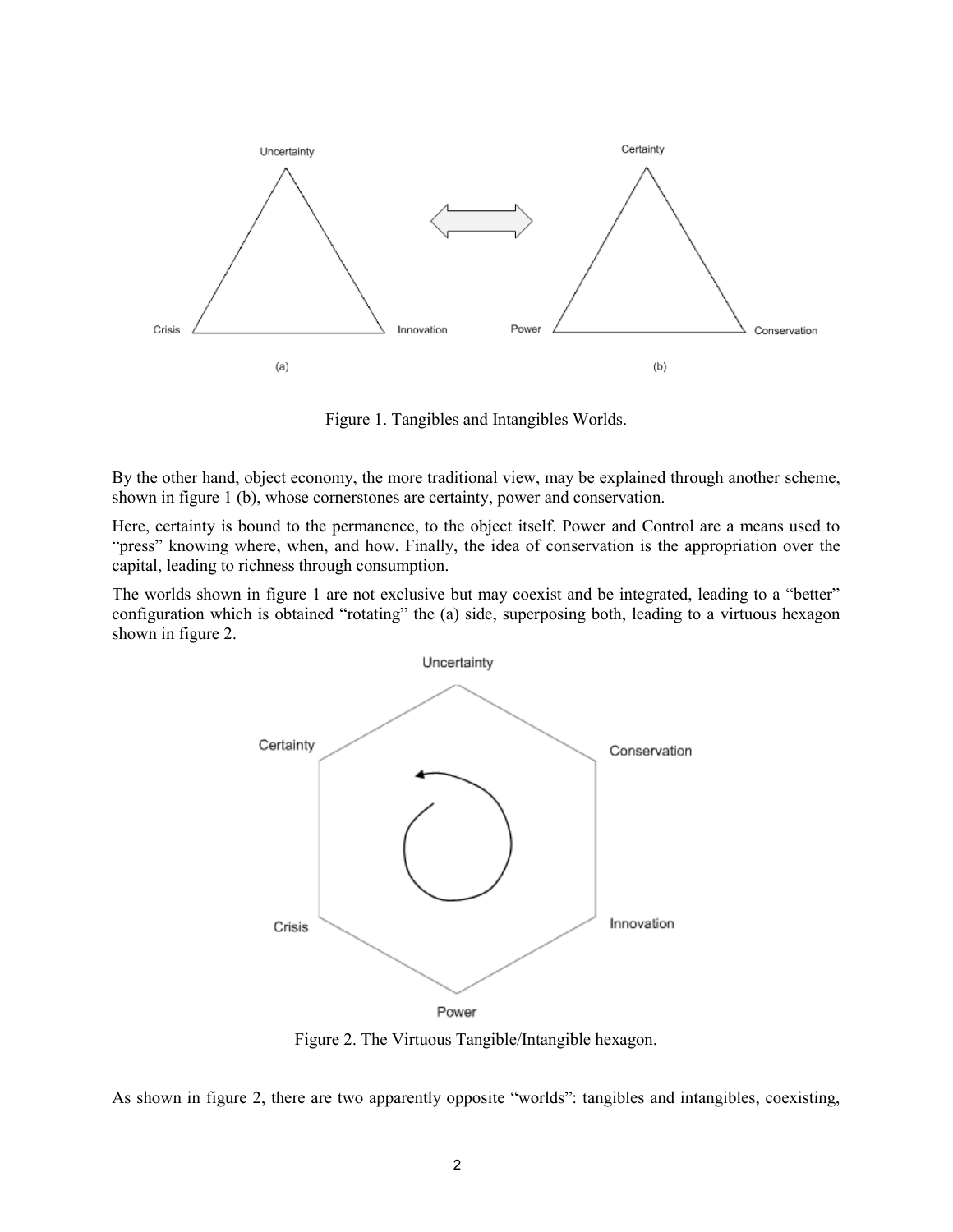

Figure 1. Tangibles and Intangibles Worlds.

By the other hand, object economy, the more traditional view, may be explained through another scheme, shown in figure 1 (b), whose cornerstones are certainty, power and conservation.

Here, certainty is bound to the permanence, to the object itself. Power and Control are a means used to "press" knowing where, when, and how. Finally, the idea of conservation is the appropriation over the capital, leading to richness through consumption.

The worlds shown in figure 1 are not exclusive but may coexist and be integrated, leading to a "better" configuration which is obtained "rotating" the (a) side, superposing both, leading to a virtuous hexagon shown in figure 2.



Figure 2. The Virtuous Tangible/Intangible hexagon.

As shown in figure 2, there are two apparently opposite "worlds": tangibles and intangibles, coexisting,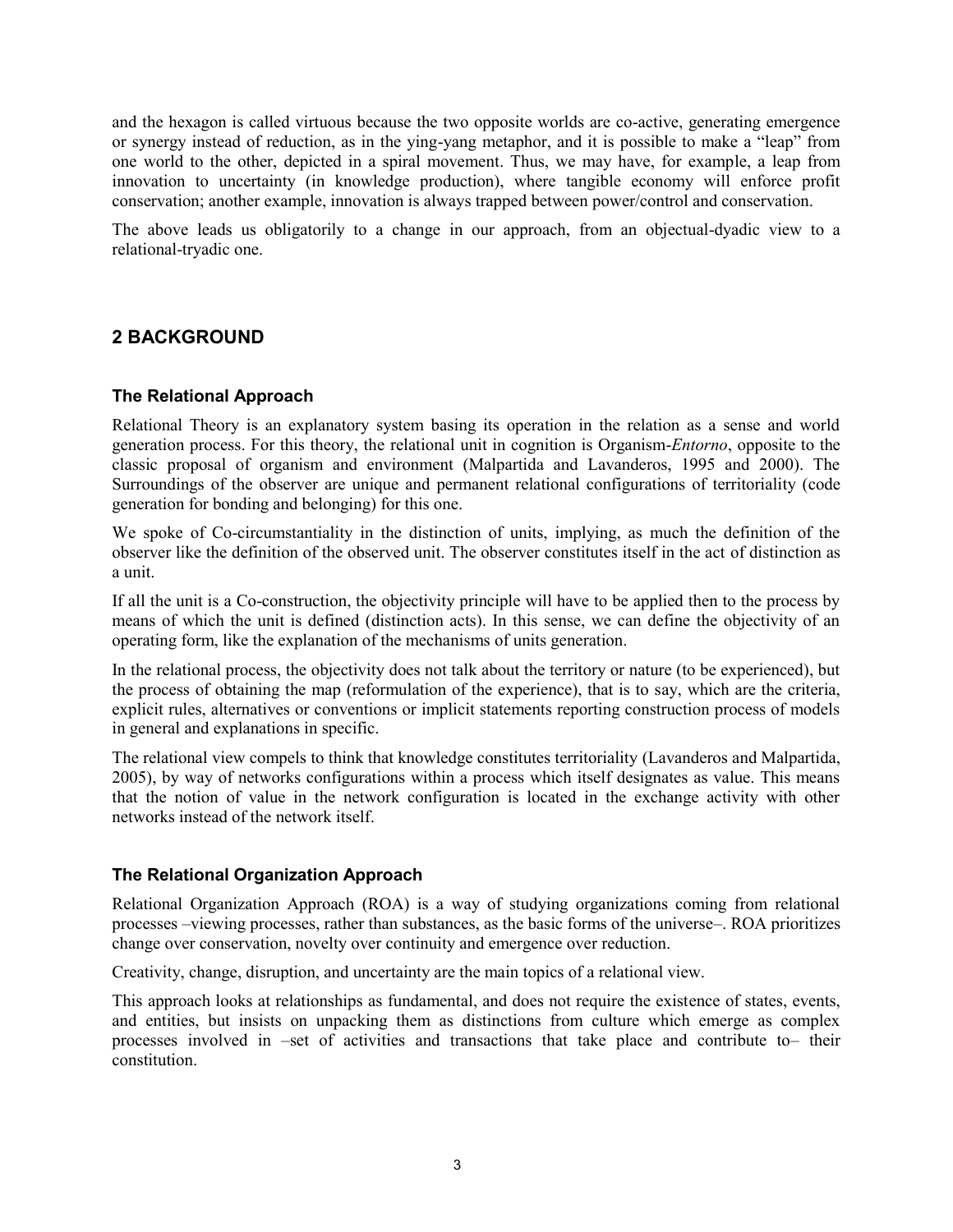and the hexagon is called virtuous because the two opposite worlds are co-active, generating emergence or synergy instead of reduction, as in the ying-yang metaphor, and it is possible to make a "leap" from one world to the other, depicted in a spiral movement. Thus, we may have, for example, a leap from innovation to uncertainty (in knowledge production), where tangible economy will enforce profit conservation; another example, innovation is always trapped between power/control and conservation.

The above leads us obligatorily to a change in our approach, from an objectual-dyadic view to a relational-tryadic one.

# **2 BACKGROUND**

#### **The Relational Approach**

Relational Theory is an explanatory system basing its operation in the relation as a sense and world generation process. For this theory, the relational unit in cognition is Organism-*Entorno*, opposite to the classic proposal of organism and environment (Malpartida and Lavanderos, 1995 and 2000). The Surroundings of the observer are unique and permanent relational configurations of territoriality (code generation for bonding and belonging) for this one.

We spoke of Co-circumstantiality in the distinction of units, implying, as much the definition of the observer like the definition of the observed unit. The observer constitutes itself in the act of distinction as a unit.

If all the unit is a Co-construction, the objectivity principle will have to be applied then to the process by means of which the unit is defined (distinction acts). In this sense, we can define the objectivity of an operating form, like the explanation of the mechanisms of units generation.

In the relational process, the objectivity does not talk about the territory or nature (to be experienced), but the process of obtaining the map (reformulation of the experience), that is to say, which are the criteria, explicit rules, alternatives or conventions or implicit statements reporting construction process of models in general and explanations in specific.

The relational view compels to think that knowledge constitutes territoriality (Lavanderos and Malpartida, 2005), by way of networks configurations within a process which itself designates as value. This means that the notion of value in the network configuration is located in the exchange activity with other networks instead of the network itself.

#### **The Relational Organization Approach**

Relational Organization Approach (ROA) is a way of studying organizations coming from relational processes –viewing processes, rather than substances, as the basic forms of the universe–. ROA prioritizes change over conservation, novelty over continuity and emergence over reduction.

Creativity, change, disruption, and uncertainty are the main topics of a relational view.

This approach looks at relationships as fundamental, and does not require the existence of states, events, and entities, but insists on unpacking them as distinctions from culture which emerge as complex processes involved in –set of activities and transactions that take place and contribute to– their constitution.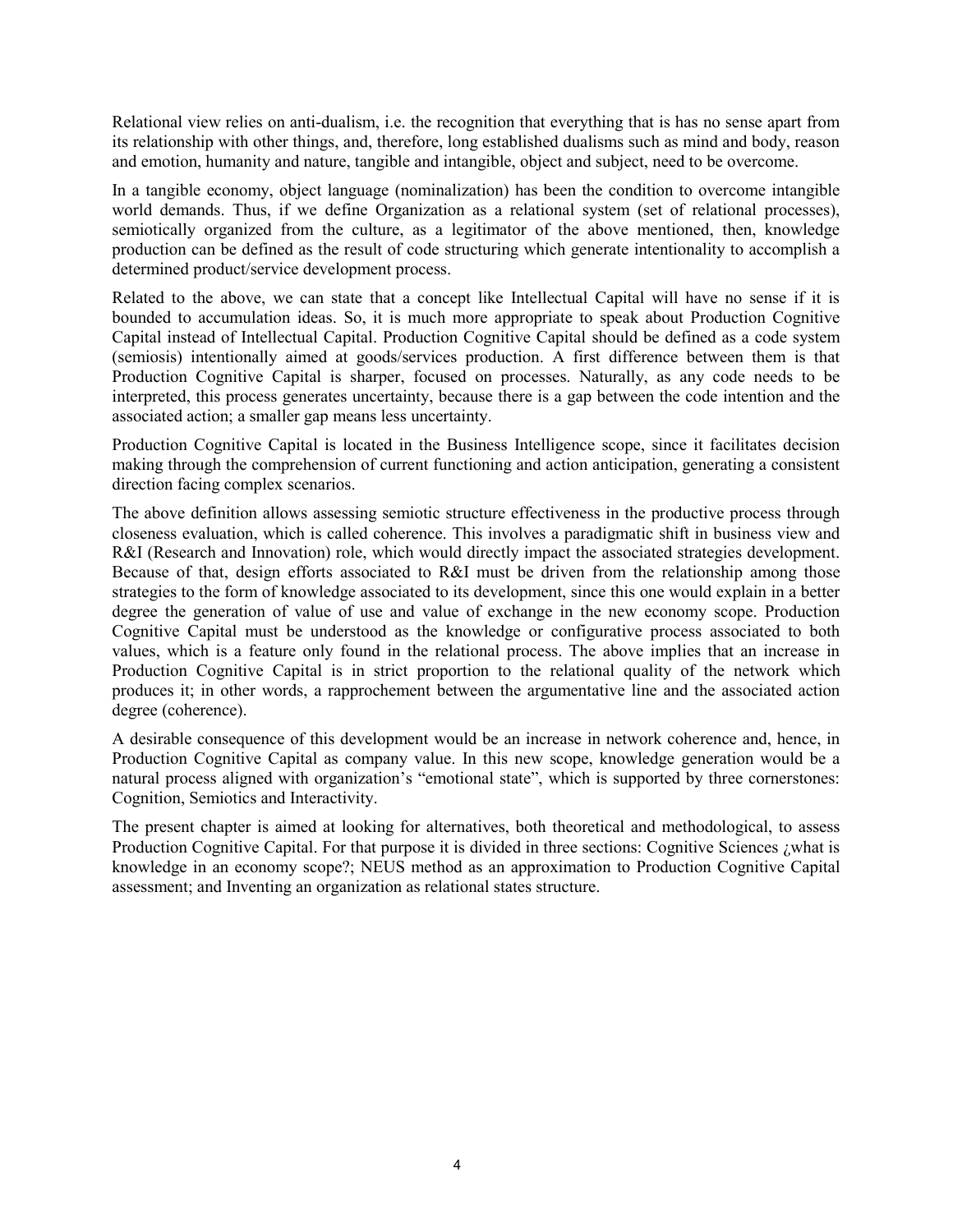Relational view relies on anti-dualism, i.e. the recognition that everything that is has no sense apart from its relationship with other things, and, therefore, long established dualisms such as mind and body, reason and emotion, humanity and nature, tangible and intangible, object and subject, need to be overcome.

In a tangible economy, object language (nominalization) has been the condition to overcome intangible world demands. Thus, if we define Organization as a relational system (set of relational processes), semiotically organized from the culture, as a legitimator of the above mentioned, then, knowledge production can be defined as the result of code structuring which generate intentionality to accomplish a determined product/service development process.

Related to the above, we can state that a concept like Intellectual Capital will have no sense if it is bounded to accumulation ideas. So, it is much more appropriate to speak about Production Cognitive Capital instead of Intellectual Capital. Production Cognitive Capital should be defined as a code system (semiosis) intentionally aimed at goods/services production. A first difference between them is that Production Cognitive Capital is sharper, focused on processes. Naturally, as any code needs to be interpreted, this process generates uncertainty, because there is a gap between the code intention and the associated action; a smaller gap means less uncertainty.

Production Cognitive Capital is located in the Business Intelligence scope, since it facilitates decision making through the comprehension of current functioning and action anticipation, generating a consistent direction facing complex scenarios.

The above definition allows assessing semiotic structure effectiveness in the productive process through closeness evaluation, which is called coherence. This involves a paradigmatic shift in business view and R&I (Research and Innovation) role, which would directly impact the associated strategies development. Because of that, design efforts associated to R&I must be driven from the relationship among those strategies to the form of knowledge associated to its development, since this one would explain in a better degree the generation of value of use and value of exchange in the new economy scope. Production Cognitive Capital must be understood as the knowledge or configurative process associated to both values, which is a feature only found in the relational process. The above implies that an increase in Production Cognitive Capital is in strict proportion to the relational quality of the network which produces it; in other words, a rapprochement between the argumentative line and the associated action degree (coherence).

A desirable consequence of this development would be an increase in network coherence and, hence, in Production Cognitive Capital as company value. In this new scope, knowledge generation would be a natural process aligned with organization's "emotional state", which is supported by three cornerstones: Cognition, Semiotics and Interactivity.

The present chapter is aimed at looking for alternatives, both theoretical and methodological, to assess Production Cognitive Capital. For that purpose it is divided in three sections: Cognitive Sciences ¿what is knowledge in an economy scope?; NEUS method as an approximation to Production Cognitive Capital assessment; and Inventing an organization as relational states structure.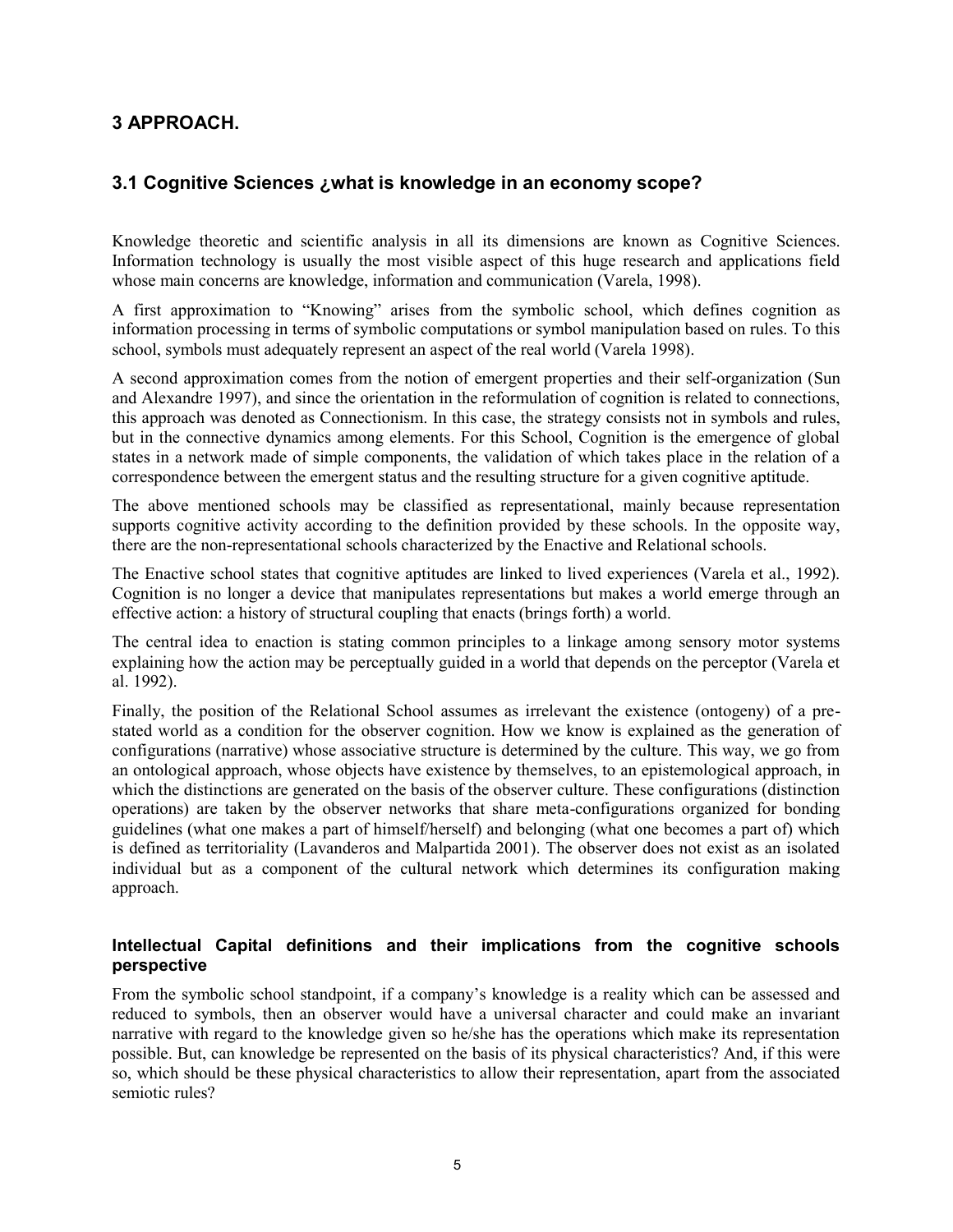# **3 APPROACH.**

# **3.1 Cognitive Sciences ¿what is knowledge in an economy scope?**

Knowledge theoretic and scientific analysis in all its dimensions are known as Cognitive Sciences. Information technology is usually the most visible aspect of this huge research and applications field whose main concerns are knowledge, information and communication (Varela, 1998).

A first approximation to "Knowing" arises from the symbolic school, which defines cognition as information processing in terms of symbolic computations or symbol manipulation based on rules. To this school, symbols must adequately represent an aspect of the real world (Varela 1998).

A second approximation comes from the notion of emergent properties and their self-organization (Sun and Alexandre 1997), and since the orientation in the reformulation of cognition is related to connections, this approach was denoted as Connectionism. In this case, the strategy consists not in symbols and rules, but in the connective dynamics among elements. For this School, Cognition is the emergence of global states in a network made of simple components, the validation of which takes place in the relation of a correspondence between the emergent status and the resulting structure for a given cognitive aptitude.

The above mentioned schools may be classified as representational, mainly because representation supports cognitive activity according to the definition provided by these schools. In the opposite way, there are the non-representational schools characterized by the Enactive and Relational schools.

The Enactive school states that cognitive aptitudes are linked to lived experiences (Varela et al., 1992). Cognition is no longer a device that manipulates representations but makes a world emerge through an effective action: a history of structural coupling that enacts (brings forth) a world.

The central idea to enaction is stating common principles to a linkage among sensory motor systems explaining how the action may be perceptually guided in a world that depends on the perceptor (Varela et al. 1992).

Finally, the position of the Relational School assumes as irrelevant the existence (ontogeny) of a prestated world as a condition for the observer cognition. How we know is explained as the generation of configurations (narrative) whose associative structure is determined by the culture. This way, we go from an ontological approach, whose objects have existence by themselves, to an epistemological approach, in which the distinctions are generated on the basis of the observer culture. These configurations (distinction operations) are taken by the observer networks that share meta-configurations organized for bonding guidelines (what one makes a part of himself/herself) and belonging (what one becomes a part of) which is defined as territoriality (Lavanderos and Malpartida 2001). The observer does not exist as an isolated individual but as a component of the cultural network which determines its configuration making approach.

## **Intellectual Capital definitions and their implications from the cognitive schools perspective**

From the symbolic school standpoint, if a company's knowledge is a reality which can be assessed and reduced to symbols, then an observer would have a universal character and could make an invariant narrative with regard to the knowledge given so he/she has the operations which make its representation possible. But, can knowledge be represented on the basis of its physical characteristics? And, if this were so, which should be these physical characteristics to allow their representation, apart from the associated semiotic rules?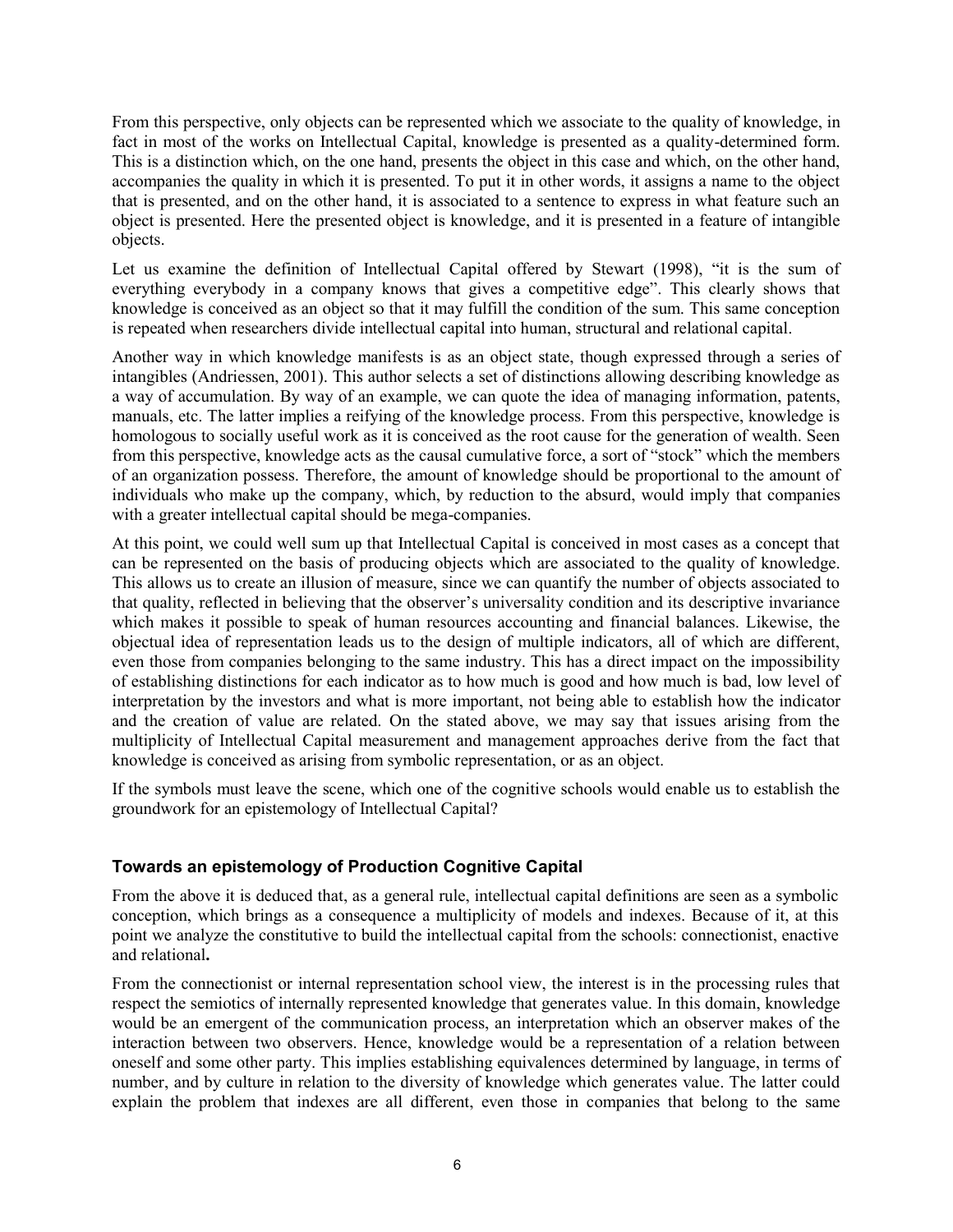From this perspective, only objects can be represented which we associate to the quality of knowledge, in fact in most of the works on Intellectual Capital, knowledge is presented as a quality-determined form. This is a distinction which, on the one hand, presents the object in this case and which, on the other hand, accompanies the quality in which it is presented. To put it in other words, it assigns a name to the object that is presented, and on the other hand, it is associated to a sentence to express in what feature such an object is presented. Here the presented object is knowledge, and it is presented in a feature of intangible objects.

Let us examine the definition of Intellectual Capital offered by Stewart (1998), "it is the sum of everything everybody in a company knows that gives a competitive edge". This clearly shows that knowledge is conceived as an object so that it may fulfill the condition of the sum. This same conception is repeated when researchers divide intellectual capital into human, structural and relational capital.

Another way in which knowledge manifests is as an object state, though expressed through a series of intangibles (Andriessen, 2001). This author selects a set of distinctions allowing describing knowledge as a way of accumulation. By way of an example, we can quote the idea of managing information, patents, manuals, etc. The latter implies a reifying of the knowledge process. From this perspective, knowledge is homologous to socially useful work as it is conceived as the root cause for the generation of wealth. Seen from this perspective, knowledge acts as the causal cumulative force, a sort of "stock" which the members of an organization possess. Therefore, the amount of knowledge should be proportional to the amount of individuals who make up the company, which, by reduction to the absurd, would imply that companies with a greater intellectual capital should be mega-companies.

At this point, we could well sum up that Intellectual Capital is conceived in most cases as a concept that can be represented on the basis of producing objects which are associated to the quality of knowledge. This allows us to create an illusion of measure, since we can quantify the number of objects associated to that quality, reflected in believing that the observer's universality condition and its descriptive invariance which makes it possible to speak of human resources accounting and financial balances. Likewise, the objectual idea of representation leads us to the design of multiple indicators, all of which are different, even those from companies belonging to the same industry. This has a direct impact on the impossibility of establishing distinctions for each indicator as to how much is good and how much is bad, low level of interpretation by the investors and what is more important, not being able to establish how the indicator and the creation of value are related. On the stated above, we may say that issues arising from the multiplicity of Intellectual Capital measurement and management approaches derive from the fact that knowledge is conceived as arising from symbolic representation, or as an object.

If the symbols must leave the scene, which one of the cognitive schools would enable us to establish the groundwork for an epistemology of Intellectual Capital?

## **Towards an epistemology of Production Cognitive Capital**

From the above it is deduced that, as a general rule, intellectual capital definitions are seen as a symbolic conception, which brings as a consequence a multiplicity of models and indexes. Because of it, at this point we analyze the constitutive to build the intellectual capital from the schools: connectionist, enactive and relational**.**

From the connectionist or internal representation school view, the interest is in the processing rules that respect the semiotics of internally represented knowledge that generates value. In this domain, knowledge would be an emergent of the communication process, an interpretation which an observer makes of the interaction between two observers. Hence, knowledge would be a representation of a relation between oneself and some other party. This implies establishing equivalences determined by language, in terms of number, and by culture in relation to the diversity of knowledge which generates value. The latter could explain the problem that indexes are all different, even those in companies that belong to the same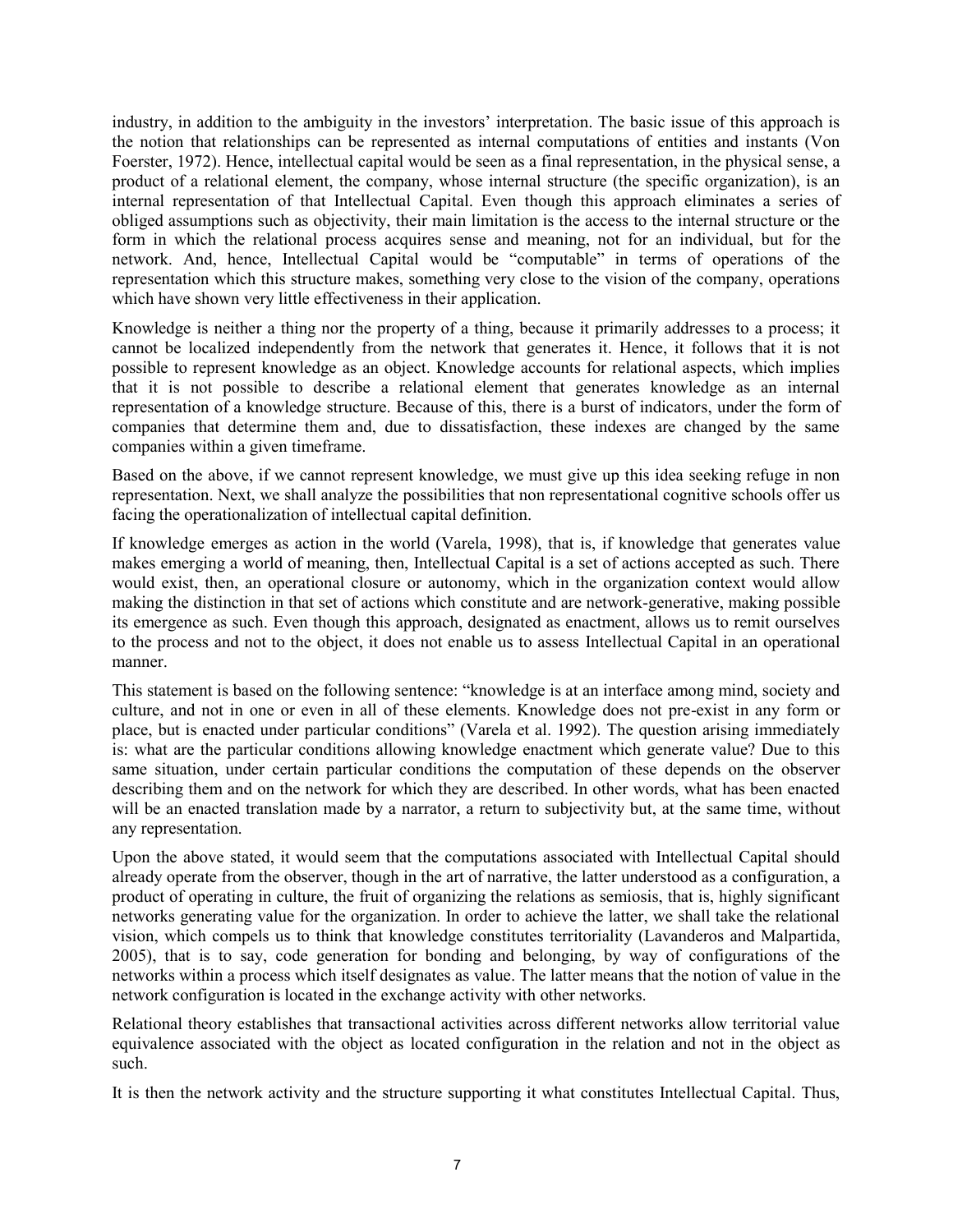industry, in addition to the ambiguity in the investors' interpretation. The basic issue of this approach is the notion that relationships can be represented as internal computations of entities and instants (Von Foerster, 1972). Hence, intellectual capital would be seen as a final representation, in the physical sense, a product of a relational element, the company, whose internal structure (the specific organization), is an internal representation of that Intellectual Capital. Even though this approach eliminates a series of obliged assumptions such as objectivity, their main limitation is the access to the internal structure or the form in which the relational process acquires sense and meaning, not for an individual, but for the network. And, hence, Intellectual Capital would be "computable" in terms of operations of the representation which this structure makes, something very close to the vision of the company, operations which have shown very little effectiveness in their application.

Knowledge is neither a thing nor the property of a thing, because it primarily addresses to a process; it cannot be localized independently from the network that generates it. Hence, it follows that it is not possible to represent knowledge as an object. Knowledge accounts for relational aspects, which implies that it is not possible to describe a relational element that generates knowledge as an internal representation of a knowledge structure. Because of this, there is a burst of indicators, under the form of companies that determine them and, due to dissatisfaction, these indexes are changed by the same companies within a given timeframe.

Based on the above, if we cannot represent knowledge, we must give up this idea seeking refuge in non representation. Next, we shall analyze the possibilities that non representational cognitive schools offer us facing the operationalization of intellectual capital definition.

If knowledge emerges as action in the world (Varela, 1998), that is, if knowledge that generates value makes emerging a world of meaning, then, Intellectual Capital is a set of actions accepted as such. There would exist, then, an operational closure or autonomy, which in the organization context would allow making the distinction in that set of actions which constitute and are network-generative, making possible its emergence as such. Even though this approach, designated as enactment, allows us to remit ourselves to the process and not to the object, it does not enable us to assess Intellectual Capital in an operational manner.

This statement is based on the following sentence: "knowledge is at an interface among mind, society and culture, and not in one or even in all of these elements. Knowledge does not pre-exist in any form or place, but is enacted under particular conditions" (Varela et al. 1992). The question arising immediately is: what are the particular conditions allowing knowledge enactment which generate value? Due to this same situation, under certain particular conditions the computation of these depends on the observer describing them and on the network for which they are described. In other words, what has been enacted will be an enacted translation made by a narrator, a return to subjectivity but, at the same time, without any representation.

Upon the above stated, it would seem that the computations associated with Intellectual Capital should already operate from the observer, though in the art of narrative, the latter understood as a configuration, a product of operating in culture, the fruit of organizing the relations as semiosis, that is, highly significant networks generating value for the organization. In order to achieve the latter, we shall take the relational vision, which compels us to think that knowledge constitutes territoriality (Lavanderos and Malpartida, 2005), that is to say, code generation for bonding and belonging, by way of configurations of the networks within a process which itself designates as value. The latter means that the notion of value in the network configuration is located in the exchange activity with other networks.

Relational theory establishes that transactional activities across different networks allow territorial value equivalence associated with the object as located configuration in the relation and not in the object as such.

It is then the network activity and the structure supporting it what constitutes Intellectual Capital. Thus,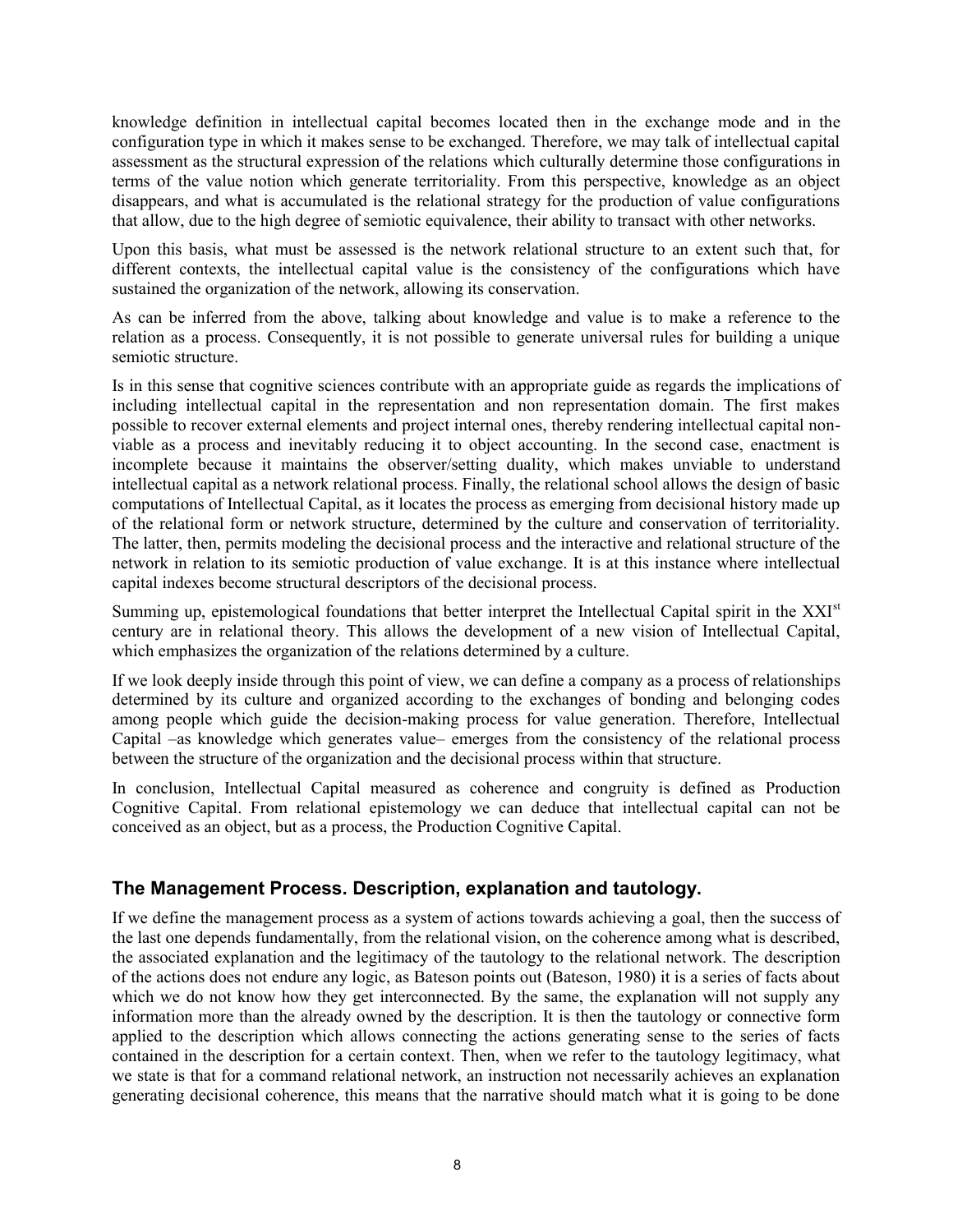knowledge definition in intellectual capital becomes located then in the exchange mode and in the configuration type in which it makes sense to be exchanged. Therefore, we may talk of intellectual capital assessment as the structural expression of the relations which culturally determine those configurations in terms of the value notion which generate territoriality. From this perspective, knowledge as an object disappears, and what is accumulated is the relational strategy for the production of value configurations that allow, due to the high degree of semiotic equivalence, their ability to transact with other networks.

Upon this basis, what must be assessed is the network relational structure to an extent such that, for different contexts, the intellectual capital value is the consistency of the configurations which have sustained the organization of the network, allowing its conservation.

As can be inferred from the above, talking about knowledge and value is to make a reference to the relation as a process. Consequently, it is not possible to generate universal rules for building a unique semiotic structure.

Is in this sense that cognitive sciences contribute with an appropriate guide as regards the implications of including intellectual capital in the representation and non representation domain. The first makes possible to recover external elements and project internal ones, thereby rendering intellectual capital nonviable as a process and inevitably reducing it to object accounting. In the second case, enactment is incomplete because it maintains the observer/setting duality, which makes unviable to understand intellectual capital as a network relational process. Finally, the relational school allows the design of basic computations of Intellectual Capital, as it locates the process as emerging from decisional history made up of the relational form or network structure, determined by the culture and conservation of territoriality. The latter, then, permits modeling the decisional process and the interactive and relational structure of the network in relation to its semiotic production of value exchange. It is at this instance where intellectual capital indexes become structural descriptors of the decisional process.

Summing up, epistemological foundations that better interpret the Intellectual Capital spirit in the  $XXI<sup>st</sup>$ century are in relational theory. This allows the development of a new vision of Intellectual Capital, which emphasizes the organization of the relations determined by a culture.

If we look deeply inside through this point of view, we can define a company as a process of relationships determined by its culture and organized according to the exchanges of bonding and belonging codes among people which guide the decision-making process for value generation. Therefore, Intellectual Capital –as knowledge which generates value– emerges from the consistency of the relational process between the structure of the organization and the decisional process within that structure.

In conclusion, Intellectual Capital measured as coherence and congruity is defined as Production Cognitive Capital. From relational epistemology we can deduce that intellectual capital can not be conceived as an object, but as a process, the Production Cognitive Capital.

# **The Management Process. Description, explanation and tautology.**

If we define the management process as a system of actions towards achieving a goal, then the success of the last one depends fundamentally, from the relational vision, on the coherence among what is described, the associated explanation and the legitimacy of the tautology to the relational network. The description of the actions does not endure any logic, as Bateson points out (Bateson, 1980) it is a series of facts about which we do not know how they get interconnected. By the same, the explanation will not supply any information more than the already owned by the description. It is then the tautology or connective form applied to the description which allows connecting the actions generating sense to the series of facts contained in the description for a certain context. Then, when we refer to the tautology legitimacy, what we state is that for a command relational network, an instruction not necessarily achieves an explanation generating decisional coherence, this means that the narrative should match what it is going to be done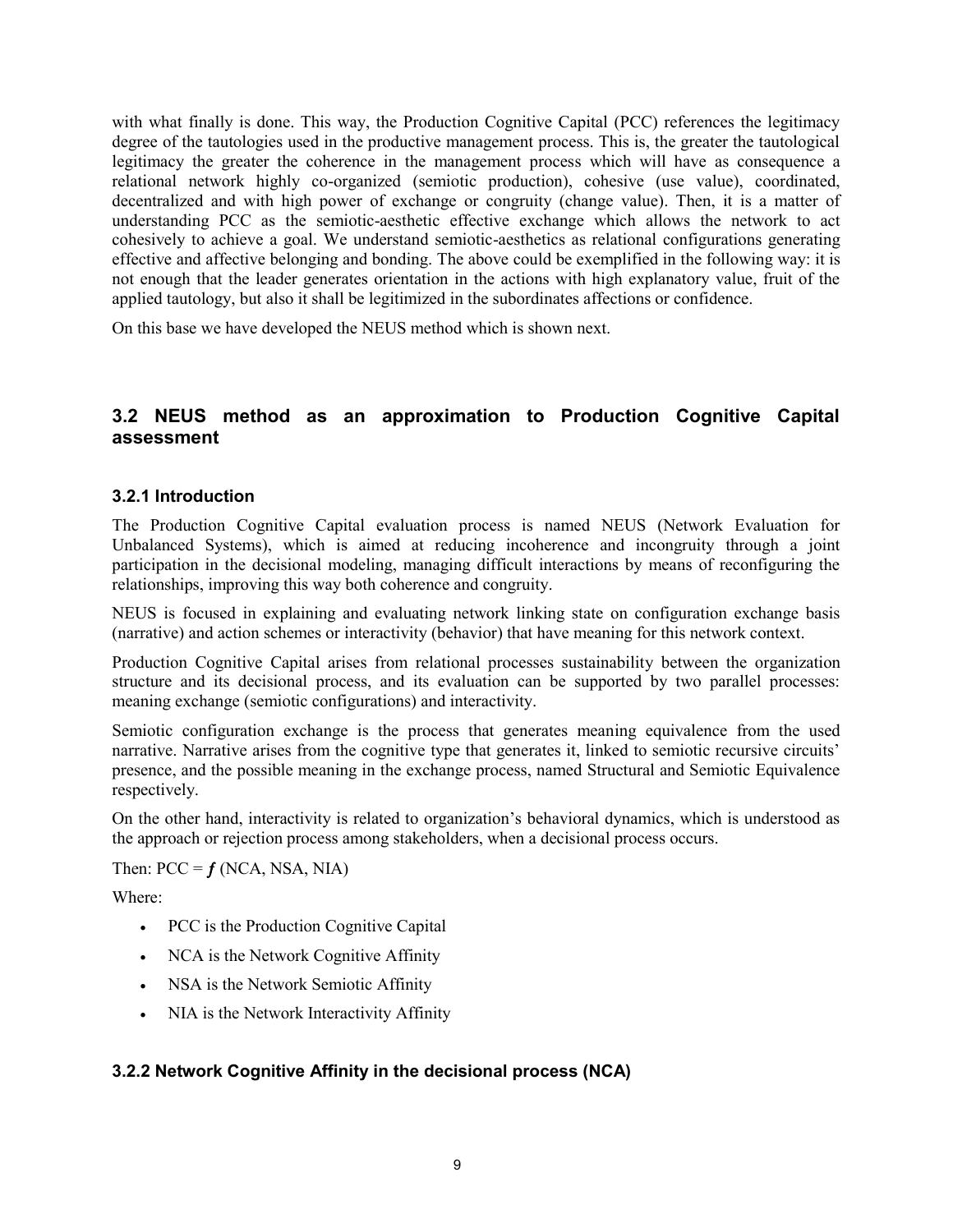with what finally is done. This way, the Production Cognitive Capital (PCC) references the legitimacy degree of the tautologies used in the productive management process. This is, the greater the tautological legitimacy the greater the coherence in the management process which will have as consequence a relational network highly co-organized (semiotic production), cohesive (use value), coordinated, decentralized and with high power of exchange or congruity (change value). Then, it is a matter of understanding PCC as the semiotic-aesthetic effective exchange which allows the network to act cohesively to achieve a goal. We understand semiotic-aesthetics as relational configurations generating effective and affective belonging and bonding. The above could be exemplified in the following way: it is not enough that the leader generates orientation in the actions with high explanatory value, fruit of the applied tautology, but also it shall be legitimized in the subordinates affections or confidence.

On this base we have developed the NEUS method which is shown next.

# **3.2 NEUS method as an approximation to Production Cognitive Capital assessment**

#### **3.2.1 Introduction**

The Production Cognitive Capital evaluation process is named NEUS (Network Evaluation for Unbalanced Systems), which is aimed at reducing incoherence and incongruity through a joint participation in the decisional modeling, managing difficult interactions by means of reconfiguring the relationships, improving this way both coherence and congruity.

NEUS is focused in explaining and evaluating network linking state on configuration exchange basis (narrative) and action schemes or interactivity (behavior) that have meaning for this network context.

Production Cognitive Capital arises from relational processes sustainability between the organization structure and its decisional process, and its evaluation can be supported by two parallel processes: meaning exchange (semiotic configurations) and interactivity.

Semiotic configuration exchange is the process that generates meaning equivalence from the used narrative. Narrative arises from the cognitive type that generates it, linked to semiotic recursive circuits' presence, and the possible meaning in the exchange process, named Structural and Semiotic Equivalence respectively.

On the other hand, interactivity is related to organization's behavioral dynamics, which is understood as the approach or rejection process among stakeholders, when a decisional process occurs.

Then:  $PCC = f (NCA, NSA, NIA)$ 

Where:

- PCC is the Production Cognitive Capital
- NCA is the Network Cognitive Affinity
- NSA is the Network Semiotic Affinity
- NIA is the Network Interactivity Affinity

#### **3.2.2 Network Cognitive Affinity in the decisional process (NCA)**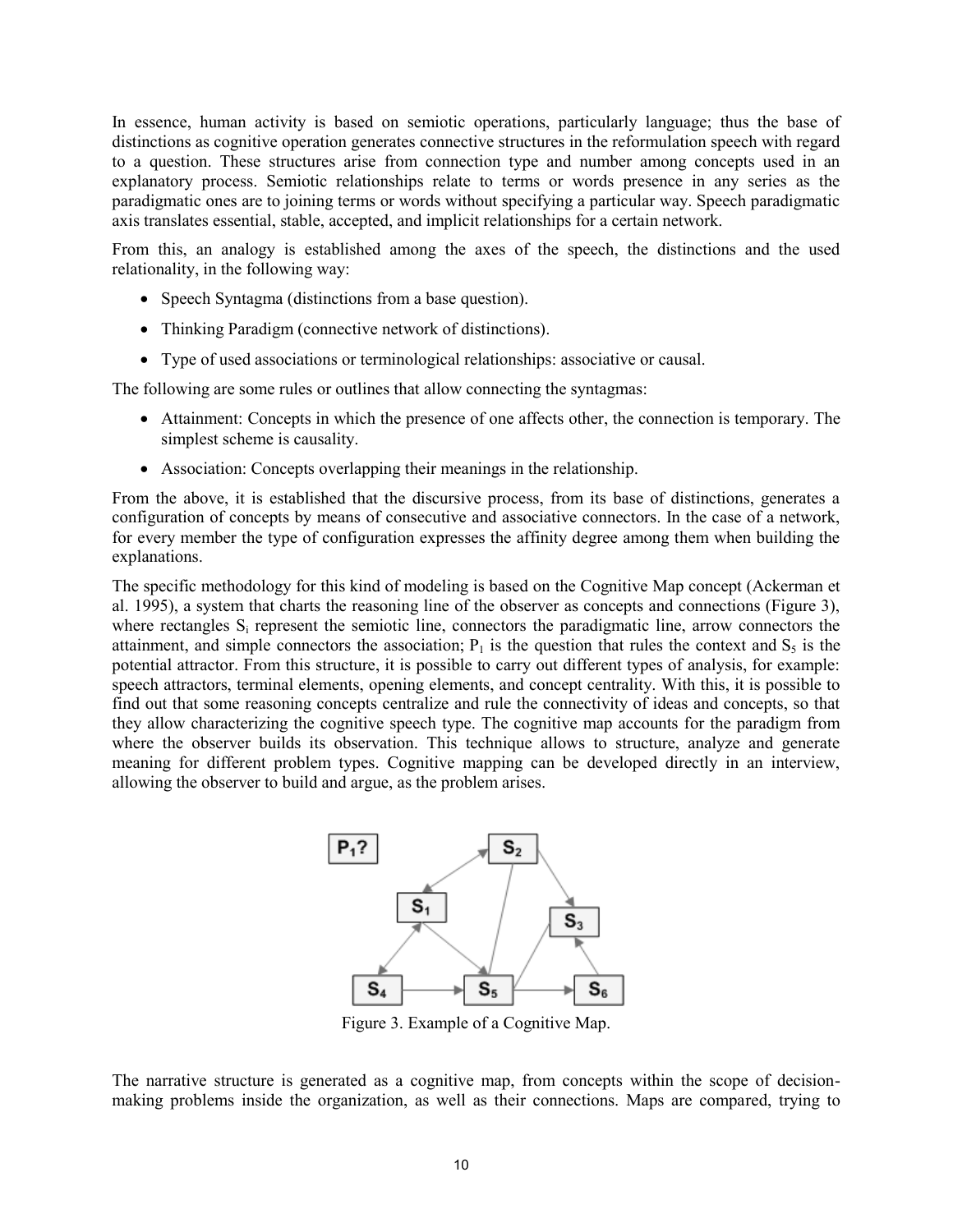In essence, human activity is based on semiotic operations, particularly language; thus the base of distinctions as cognitive operation generates connective structures in the reformulation speech with regard to a question. These structures arise from connection type and number among concepts used in an explanatory process. Semiotic relationships relate to terms or words presence in any series as the paradigmatic ones are to joining terms or words without specifying a particular way. Speech paradigmatic axis translates essential, stable, accepted, and implicit relationships for a certain network.

From this, an analogy is established among the axes of the speech, the distinctions and the used relationality, in the following way:

- Speech Syntagma (distinctions from a base question).
- Thinking Paradigm (connective network of distinctions).
- Type of used associations or terminological relationships: associative or causal.

The following are some rules or outlines that allow connecting the syntagmas:

- Attainment: Concepts in which the presence of one affects other, the connection is temporary. The simplest scheme is causality.
- Association: Concepts overlapping their meanings in the relationship.

From the above, it is established that the discursive process, from its base of distinctions, generates a configuration of concepts by means of consecutive and associative connectors. In the case of a network, for every member the type of configuration expresses the affinity degree among them when building the explanations.

The specific methodology for this kind of modeling is based on the Cognitive Map concept (Ackerman et al. 1995), a system that charts the reasoning line of the observer as concepts and connections (Figure 3), where rectangles S<sub>i</sub> represent the semiotic line, connectors the paradigmatic line, arrow connectors the attainment, and simple connectors the association;  $P_1$  is the question that rules the context and  $S_5$  is the potential attractor. From this structure, it is possible to carry out different types of analysis, for example: speech attractors, terminal elements, opening elements, and concept centrality. With this, it is possible to find out that some reasoning concepts centralize and rule the connectivity of ideas and concepts, so that they allow characterizing the cognitive speech type. The cognitive map accounts for the paradigm from where the observer builds its observation. This technique allows to structure, analyze and generate meaning for different problem types. Cognitive mapping can be developed directly in an interview, allowing the observer to build and argue, as the problem arises.



Figure 3. Example of a Cognitive Map.

The narrative structure is generated as a cognitive map, from concepts within the scope of decisionmaking problems inside the organization, as well as their connections. Maps are compared, trying to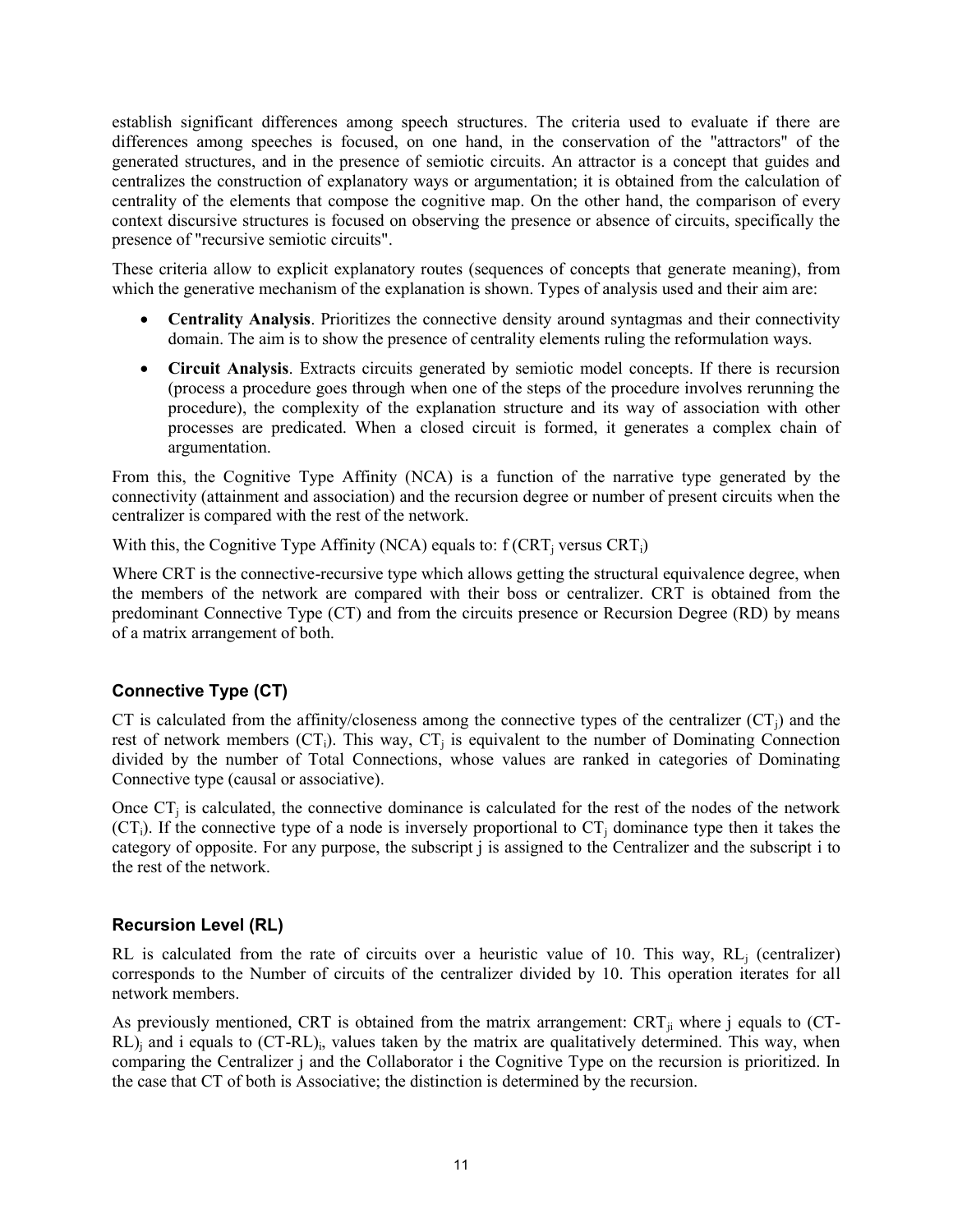establish significant differences among speech structures. The criteria used to evaluate if there are differences among speeches is focused, on one hand, in the conservation of the "attractors" of the generated structures, and in the presence of semiotic circuits. An attractor is a concept that guides and centralizes the construction of explanatory ways or argumentation; it is obtained from the calculation of centrality of the elements that compose the cognitive map. On the other hand, the comparison of every context discursive structures is focused on observing the presence or absence of circuits, specifically the presence of "recursive semiotic circuits".

These criteria allow to explicit explanatory routes (sequences of concepts that generate meaning), from which the generative mechanism of the explanation is shown. Types of analysis used and their aim are:

- **Centrality Analysis**. Prioritizes the connective density around syntagmas and their connectivity domain. The aim is to show the presence of centrality elements ruling the reformulation ways.
- **Circuit Analysis**. Extracts circuits generated by semiotic model concepts. If there is recursion (process a procedure goes through when one of the steps of the procedure involves rerunning the procedure), the complexity of the explanation structure and its way of association with other processes are predicated. When a closed circuit is formed, it generates a complex chain of argumentation.

From this, the Cognitive Type Affinity (NCA) is a function of the narrative type generated by the connectivity (attainment and association) and the recursion degree or number of present circuits when the centralizer is compared with the rest of the network.

With this, the Cognitive Type Affinity (NCA) equals to:  $f (CRT<sub>i</sub> versus CRT<sub>i</sub>)$ 

Where CRT is the connective-recursive type which allows getting the structural equivalence degree, when the members of the network are compared with their boss or centralizer. CRT is obtained from the predominant Connective Type (CT) and from the circuits presence or Recursion Degree (RD) by means of a matrix arrangement of both.

# **Connective Type (CT)**

CT is calculated from the affinity/closeness among the connective types of the centralizer  $(CT_i)$  and the rest of network members  $(CT_i)$ . This way,  $CT_j$  is equivalent to the number of Dominating Connection divided by the number of Total Connections, whose values are ranked in categories of Dominating Connective type (causal or associative).

Once  $CT_i$  is calculated, the connective dominance is calculated for the rest of the nodes of the network  $(CT_i)$ . If the connective type of a node is inversely proportional to  $CT_i$  dominance type then it takes the category of opposite. For any purpose, the subscript j is assigned to the Centralizer and the subscript i to the rest of the network.

# **Recursion Level (RL)**

RL is calculated from the rate of circuits over a heuristic value of 10. This way,  $RL<sub>i</sub>$  (centralizer) corresponds to the Number of circuits of the centralizer divided by 10. This operation iterates for all network members.

As previously mentioned, CRT is obtained from the matrix arrangement:  $CRT_{ii}$  where j equals to (CT- $RL$ )<sub>i</sub> and i equals to  $(CT-RL)$ <sub>i</sub>, values taken by the matrix are qualitatively determined. This way, when comparing the Centralizer j and the Collaborator i the Cognitive Type on the recursion is prioritized. In the case that CT of both is Associative; the distinction is determined by the recursion.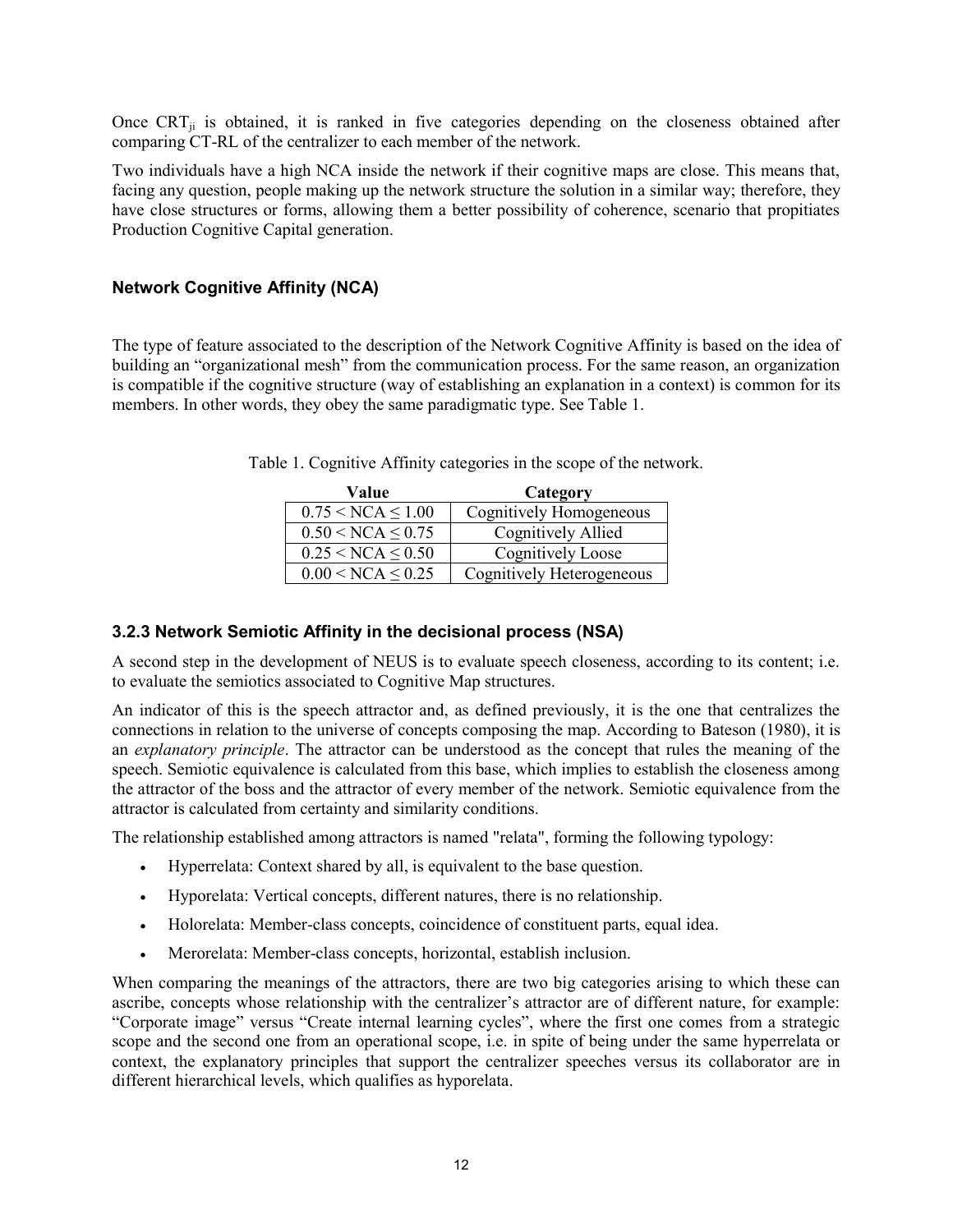Once  $CRT_{ii}$  is obtained, it is ranked in five categories depending on the closeness obtained after comparing CT-RL of the centralizer to each member of the network.

Two individuals have a high NCA inside the network if their cognitive maps are close. This means that, facing any question, people making up the network structure the solution in a similar way; therefore, they have close structures or forms, allowing them a better possibility of coherence, scenario that propitiates Production Cognitive Capital generation.

## **Network Cognitive Affinity (NCA)**

The type of feature associated to the description of the Network Cognitive Affinity is based on the idea of building an "organizational mesh" from the communication process. For the same reason, an organization is compatible if the cognitive structure (way of establishing an explanation in a context) is common for its members. In other words, they obey the same paradigmatic type. See Table 1.

| Value                     | Category                  |
|---------------------------|---------------------------|
| $0.75 \leq NCA \leq 1.00$ | Cognitively Homogeneous   |
| $0.50 < NCA \le 0.75$     | Cognitively Allied        |
| $0.25 \leq NCA \leq 0.50$ | Cognitively Loose         |
| $0.00 \leq NCA \leq 0.25$ | Cognitively Heterogeneous |

Table 1. Cognitive Affinity categories in the scope of the network.

## **3.2.3 Network Semiotic Affinity in the decisional process (NSA)**

A second step in the development of NEUS is to evaluate speech closeness, according to its content; i.e. to evaluate the semiotics associated to Cognitive Map structures.

An indicator of this is the speech attractor and, as defined previously, it is the one that centralizes the connections in relation to the universe of concepts composing the map. According to Bateson (1980), it is an *explanatory principle*. The attractor can be understood as the concept that rules the meaning of the speech. Semiotic equivalence is calculated from this base, which implies to establish the closeness among the attractor of the boss and the attractor of every member of the network. Semiotic equivalence from the attractor is calculated from certainty and similarity conditions.

The relationship established among attractors is named "relata", forming the following typology:

- Hyperrelata: Context shared by all, is equivalent to the base question.
- Hyporelata: Vertical concepts, different natures, there is no relationship.
- Holorelata: Member-class concepts, coincidence of constituent parts, equal idea.
- Merorelata: Member-class concepts, horizontal, establish inclusion.

When comparing the meanings of the attractors, there are two big categories arising to which these can ascribe, concepts whose relationship with the centralizer's attractor are of different nature, for example: "Corporate image" versus "Create internal learning cycles", where the first one comes from a strategic scope and the second one from an operational scope, i.e. in spite of being under the same hyperrelata or context, the explanatory principles that support the centralizer speeches versus its collaborator are in different hierarchical levels, which qualifies as hyporelata.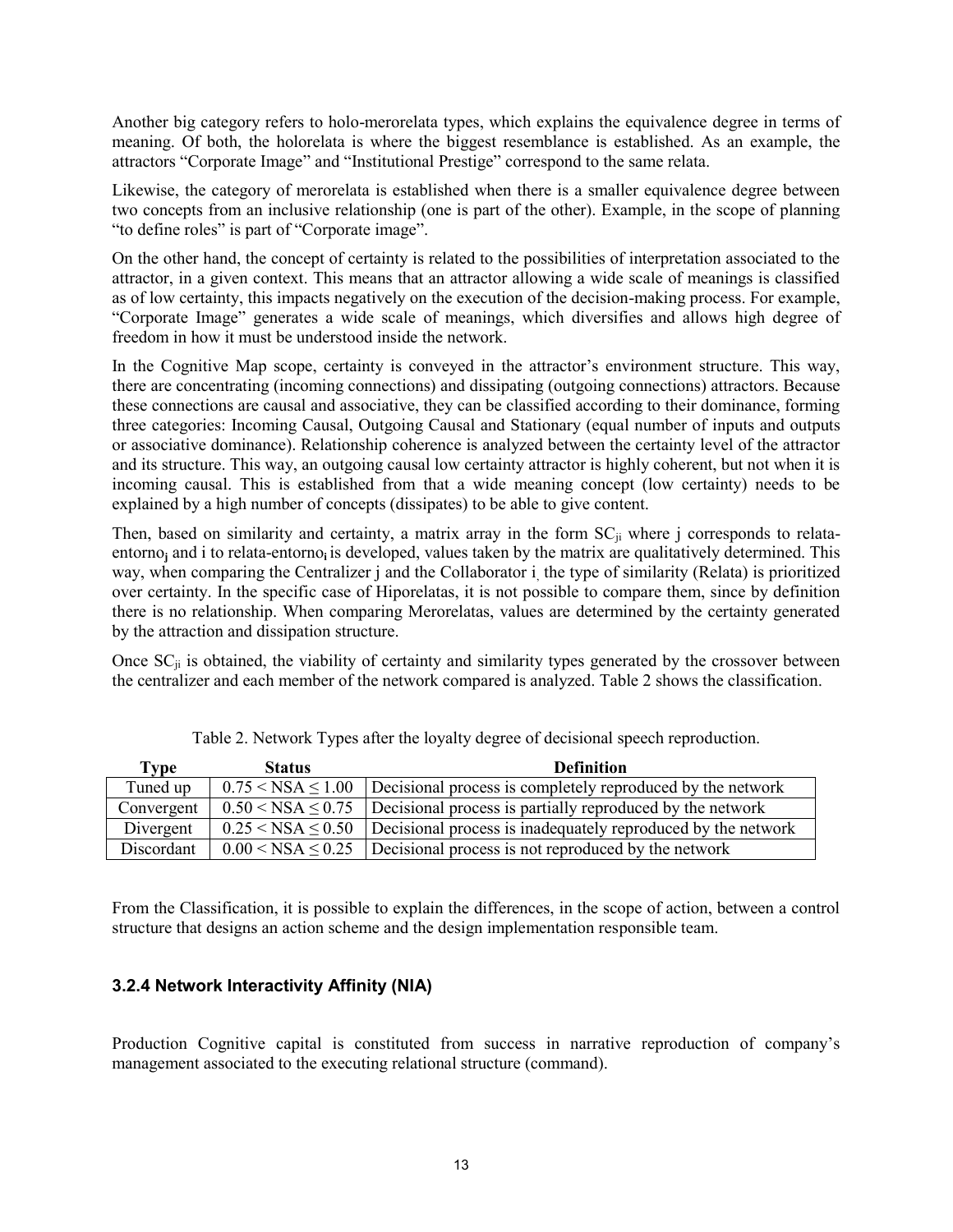Another big category refers to holo-merorelata types, which explains the equivalence degree in terms of meaning. Of both, the holorelata is where the biggest resemblance is established. As an example, the attractors "Corporate Image" and "Institutional Prestige" correspond to the same relata.

Likewise, the category of merorelata is established when there is a smaller equivalence degree between two concepts from an inclusive relationship (one is part of the other). Example, in the scope of planning "to define roles" is part of "Corporate image".

On the other hand, the concept of certainty is related to the possibilities of interpretation associated to the attractor, in a given context. This means that an attractor allowing a wide scale of meanings is classified as of low certainty, this impacts negatively on the execution of the decision-making process. For example, "Corporate Image" generates a wide scale of meanings, which diversifies and allows high degree of freedom in how it must be understood inside the network.

In the Cognitive Map scope, certainty is conveyed in the attractor's environment structure. This way, there are concentrating (incoming connections) and dissipating (outgoing connections) attractors. Because these connections are causal and associative, they can be classified according to their dominance, forming three categories: Incoming Causal, Outgoing Causal and Stationary (equal number of inputs and outputs or associative dominance). Relationship coherence is analyzed between the certainty level of the attractor and its structure. This way, an outgoing causal low certainty attractor is highly coherent, but not when it is incoming causal. This is established from that a wide meaning concept (low certainty) needs to be explained by a high number of concepts (dissipates) to be able to give content.

Then, based on similarity and certainty, a matrix array in the form SC<sub>ji</sub> where j corresponds to relataentorno**<sup>j</sup>** and i to relata-entorno**<sup>i</sup>** is developed, values taken by the matrix are qualitatively determined. This way, when comparing the Centralizer j and the Collaborator i, the type of similarity (Relata) is prioritized over certainty. In the specific case of Hiporelatas, it is not possible to compare them, since by definition there is no relationship. When comparing Merorelatas, values are determined by the certainty generated by the attraction and dissipation structure.

Once SC<sub>ji</sub> is obtained, the viability of certainty and similarity types generated by the crossover between the centralizer and each member of the network compared is analyzed. Table 2 shows the classification.

| Type       | <b>Status</b>                    | <b>Definition</b>                                            |  |
|------------|----------------------------------|--------------------------------------------------------------|--|
| Tuned up   | $0.75 \leq \text{NSA} \leq 1.00$ | Decisional process is completely reproduced by the network   |  |
| Convergent | $0.50 \leq$ NSA $\leq$ 0.75      | Decisional process is partially reproduced by the network    |  |
| Divergent  | $0.25 \leq \text{NSA} \leq 0.50$ | Decisional process is inadequately reproduced by the network |  |
| Discordant | $0.00 \leq \text{NSA} \leq 0.25$ | Decisional process is not reproduced by the network          |  |

Table 2. Network Types after the loyalty degree of decisional speech reproduction.

From the Classification, it is possible to explain the differences, in the scope of action, between a control structure that designs an action scheme and the design implementation responsible team.

## **3.2.4 Network Interactivity Affinity (NIA)**

Production Cognitive capital is constituted from success in narrative reproduction of company's management associated to the executing relational structure (command).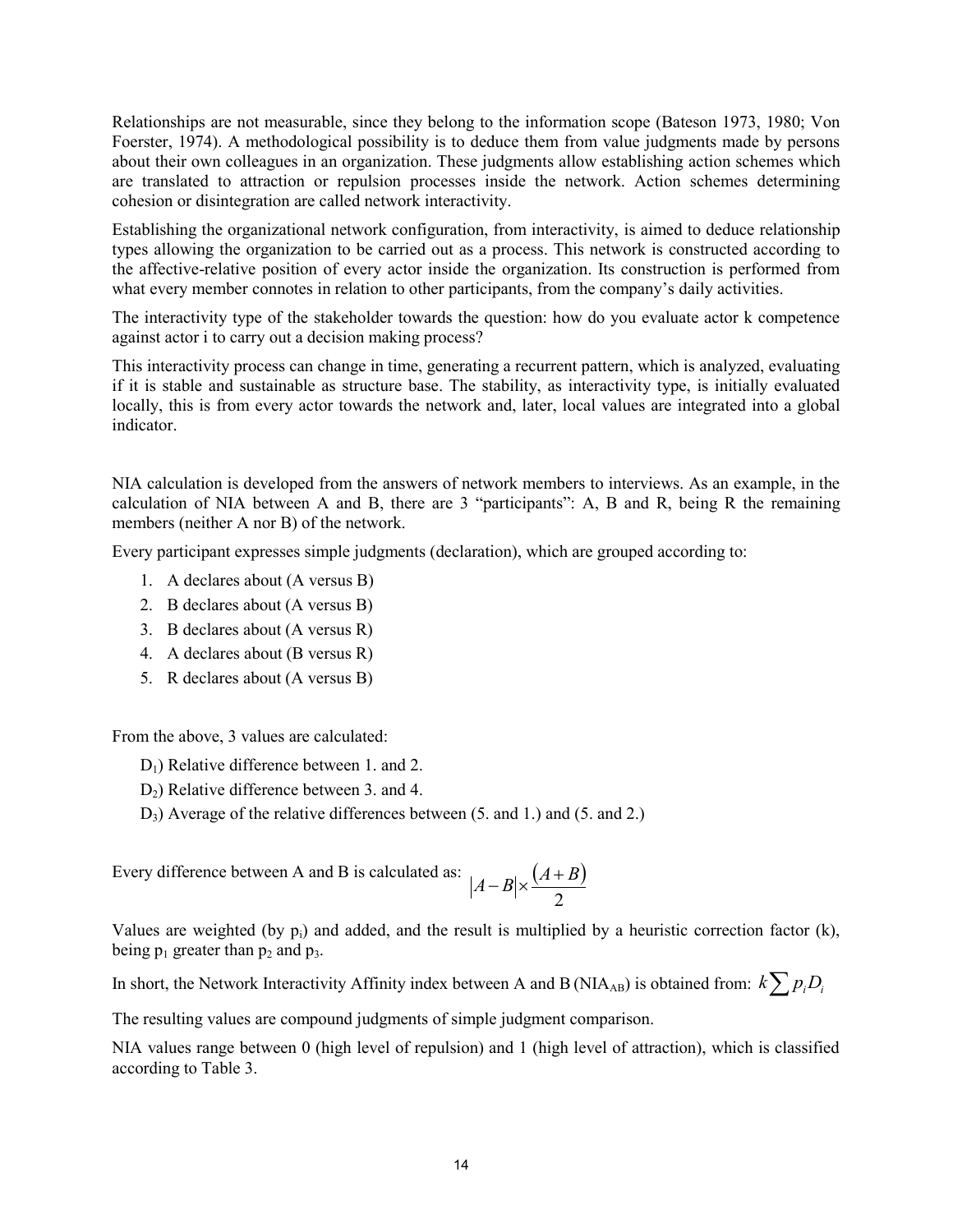Relationships are not measurable, since they belong to the information scope (Bateson 1973, 1980; Von Foerster, 1974). A methodological possibility is to deduce them from value judgments made by persons about their own colleagues in an organization. These judgments allow establishing action schemes which are translated to attraction or repulsion processes inside the network. Action schemes determining cohesion or disintegration are called network interactivity.

Establishing the organizational network configuration, from interactivity, is aimed to deduce relationship types allowing the organization to be carried out as a process. This network is constructed according to the affective-relative position of every actor inside the organization. Its construction is performed from what every member connotes in relation to other participants, from the company's daily activities.

The interactivity type of the stakeholder towards the question: how do you evaluate actor k competence against actor i to carry out a decision making process?

This interactivity process can change in time, generating a recurrent pattern, which is analyzed, evaluating if it is stable and sustainable as structure base. The stability, as interactivity type, is initially evaluated locally, this is from every actor towards the network and, later, local values are integrated into a global indicator.

NIA calculation is developed from the answers of network members to interviews. As an example, in the calculation of NIA between A and B, there are 3 "participants": A, B and R, being R the remaining members (neither A nor B) of the network.

Every participant expresses simple judgments (declaration), which are grouped according to:

- 1. A declares about (A versus B)
- 2. B declares about (A versus B)
- 3. B declares about (A versus R)
- 4. A declares about (B versus R)
- 5. R declares about (A versus B)

From the above, 3 values are calculated:

- $D_1$ ) Relative difference between 1. and 2.
- D<sub>2</sub>) Relative difference between 3. and 4.
- $D_3$ ) Average of the relative differences between (5. and 1.) and (5. and 2.)

Every difference between A and B is calculated as:  $\begin{bmatrix} A+B \end{bmatrix}$ 2  $A-B|\times\frac{(A+B)}{2}$ 

Values are weighted (by  $p_i$ ) and added, and the result is multiplied by a heuristic correction factor (k), being  $p_1$  greater than  $p_2$  and  $p_3$ .

In short, the Network Interactivity Affinity index between A and B (NIA<sub>AB</sub>) is obtained from:  $k\sum p_i D_i$ 

The resulting values are compound judgments of simple judgment comparison.

NIA values range between 0 (high level of repulsion) and 1 (high level of attraction), which is classified according to Table 3.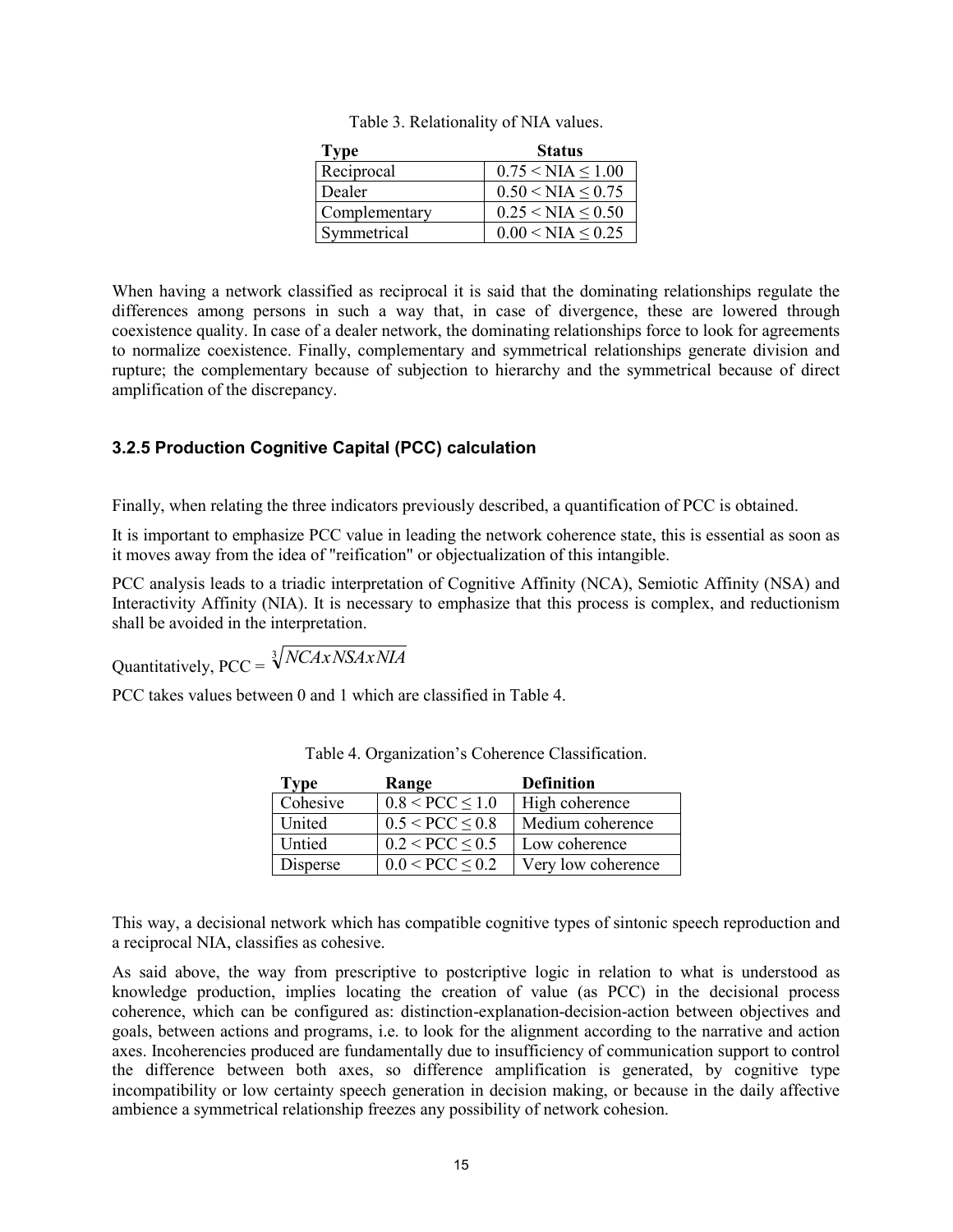| Type          | <b>Status</b>             |
|---------------|---------------------------|
| Reciprocal    | $0.75 < NIA \le 1.00$     |
| Dealer        | $0.50 \leq NIA \leq 0.75$ |
| Complementary | $0.25 < NIA \leq 0.50$    |
| Symmetrical   | $0.00 \leq NIA \leq 0.25$ |

When having a network classified as reciprocal it is said that the dominating relationships regulate the differences among persons in such a way that, in case of divergence, these are lowered through coexistence quality. In case of a dealer network, the dominating relationships force to look for agreements to normalize coexistence. Finally, complementary and symmetrical relationships generate division and rupture; the complementary because of subjection to hierarchy and the symmetrical because of direct amplification of the discrepancy.

## **3.2.5 Production Cognitive Capital (PCC) calculation**

Finally, when relating the three indicators previously described, a quantification of PCC is obtained.

It is important to emphasize PCC value in leading the network coherence state, this is essential as soon as it moves away from the idea of "reification" or objectualization of this intangible.

PCC analysis leads to a triadic interpretation of Cognitive Affinity (NCA), Semiotic Affinity (NSA) and Interactivity Affinity (NIA). It is necessary to emphasize that this process is complex, and reductionism shall be avoided in the interpretation.

Quantitatively, 
$$
PCC = \sqrt[3]{NCAxNSAxNIA}
$$

PCC takes values between 0 and 1 which are classified in Table 4.

| <b>Type</b> | Range                  | <b>Definition</b>  |
|-------------|------------------------|--------------------|
| Cohesive    | $0.8 < PCC \le 1.0$    | High coherence     |
| United      | $0.5 <$ PCC $\leq 0.8$ | Medium coherence   |
| Untied      | $0.2 <$ PCC $\leq 0.5$ | Low coherence      |
| Disperse    | $0.0 < PCC \leq 0.2$   | Very low coherence |

Table 4. Organization's Coherence Classification.

This way, a decisional network which has compatible cognitive types of sintonic speech reproduction and a reciprocal NIA, classifies as cohesive.

As said above, the way from prescriptive to postcriptive logic in relation to what is understood as knowledge production, implies locating the creation of value (as PCC) in the decisional process coherence, which can be configured as: distinction-explanation-decision-action between objectives and goals, between actions and programs, i.e. to look for the alignment according to the narrative and action axes. Incoherencies produced are fundamentally due to insufficiency of communication support to control the difference between both axes, so difference amplification is generated, by cognitive type incompatibility or low certainty speech generation in decision making, or because in the daily affective ambience a symmetrical relationship freezes any possibility of network cohesion.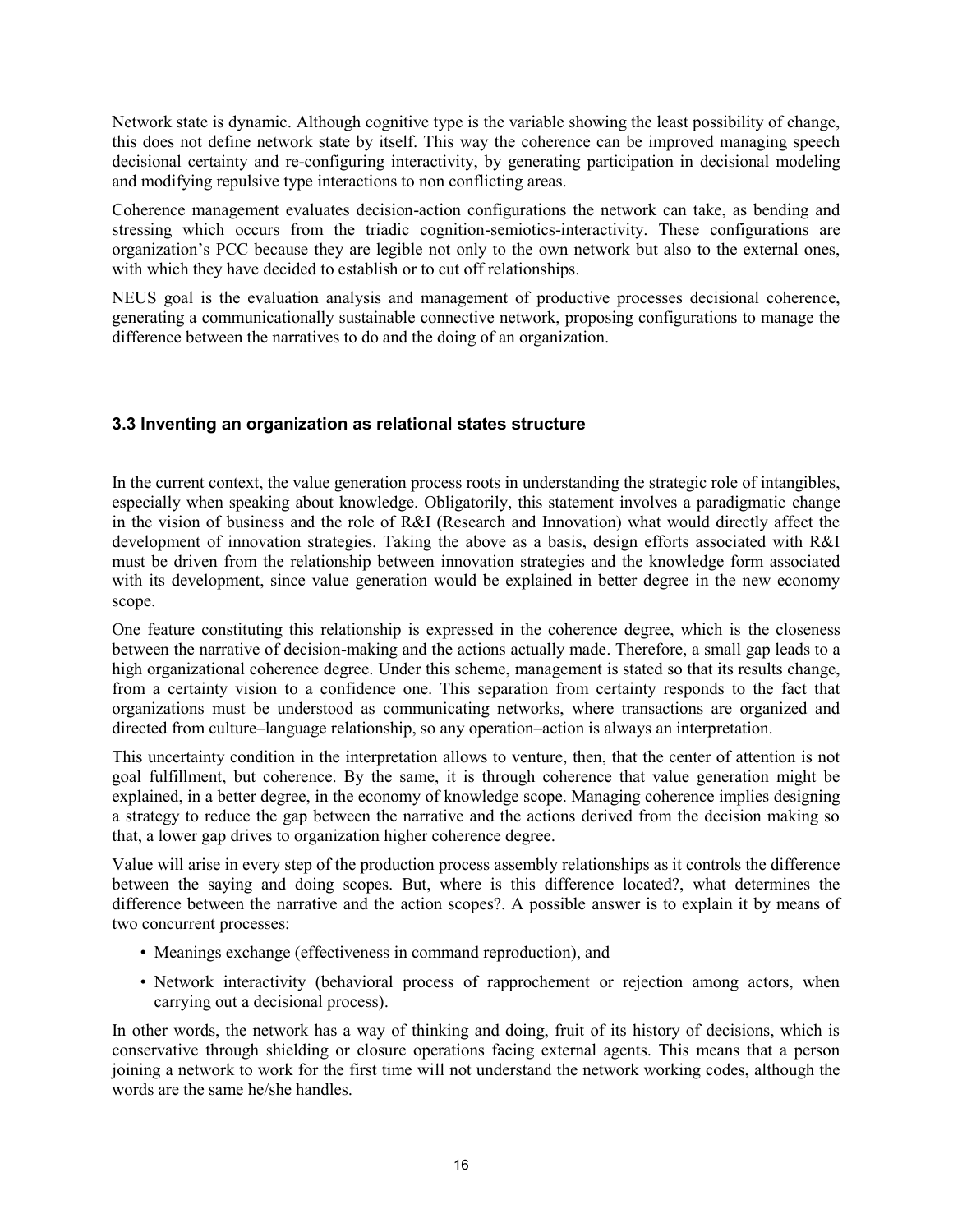Network state is dynamic. Although cognitive type is the variable showing the least possibility of change, this does not define network state by itself. This way the coherence can be improved managing speech decisional certainty and re-configuring interactivity, by generating participation in decisional modeling and modifying repulsive type interactions to non conflicting areas.

Coherence management evaluates decision-action configurations the network can take, as bending and stressing which occurs from the triadic cognition-semiotics-interactivity. These configurations are organization's PCC because they are legible not only to the own network but also to the external ones, with which they have decided to establish or to cut off relationships.

NEUS goal is the evaluation analysis and management of productive processes decisional coherence, generating a communicationally sustainable connective network, proposing configurations to manage the difference between the narratives to do and the doing of an organization.

## **3.3 Inventing an organization as relational states structure**

In the current context, the value generation process roots in understanding the strategic role of intangibles, especially when speaking about knowledge. Obligatorily, this statement involves a paradigmatic change in the vision of business and the role of R&I (Research and Innovation) what would directly affect the development of innovation strategies. Taking the above as a basis, design efforts associated with R&I must be driven from the relationship between innovation strategies and the knowledge form associated with its development, since value generation would be explained in better degree in the new economy scope.

One feature constituting this relationship is expressed in the coherence degree, which is the closeness between the narrative of decision-making and the actions actually made. Therefore, a small gap leads to a high organizational coherence degree. Under this scheme, management is stated so that its results change, from a certainty vision to a confidence one. This separation from certainty responds to the fact that organizations must be understood as communicating networks, where transactions are organized and directed from culture–language relationship, so any operation–action is always an interpretation.

This uncertainty condition in the interpretation allows to venture, then, that the center of attention is not goal fulfillment, but coherence. By the same, it is through coherence that value generation might be explained, in a better degree, in the economy of knowledge scope. Managing coherence implies designing a strategy to reduce the gap between the narrative and the actions derived from the decision making so that, a lower gap drives to organization higher coherence degree.

Value will arise in every step of the production process assembly relationships as it controls the difference between the saying and doing scopes. But, where is this difference located?, what determines the difference between the narrative and the action scopes?. A possible answer is to explain it by means of two concurrent processes:

- Meanings exchange (effectiveness in command reproduction), and
- Network interactivity (behavioral process of rapprochement or rejection among actors, when carrying out a decisional process).

In other words, the network has a way of thinking and doing, fruit of its history of decisions, which is conservative through shielding or closure operations facing external agents. This means that a person joining a network to work for the first time will not understand the network working codes, although the words are the same he/she handles.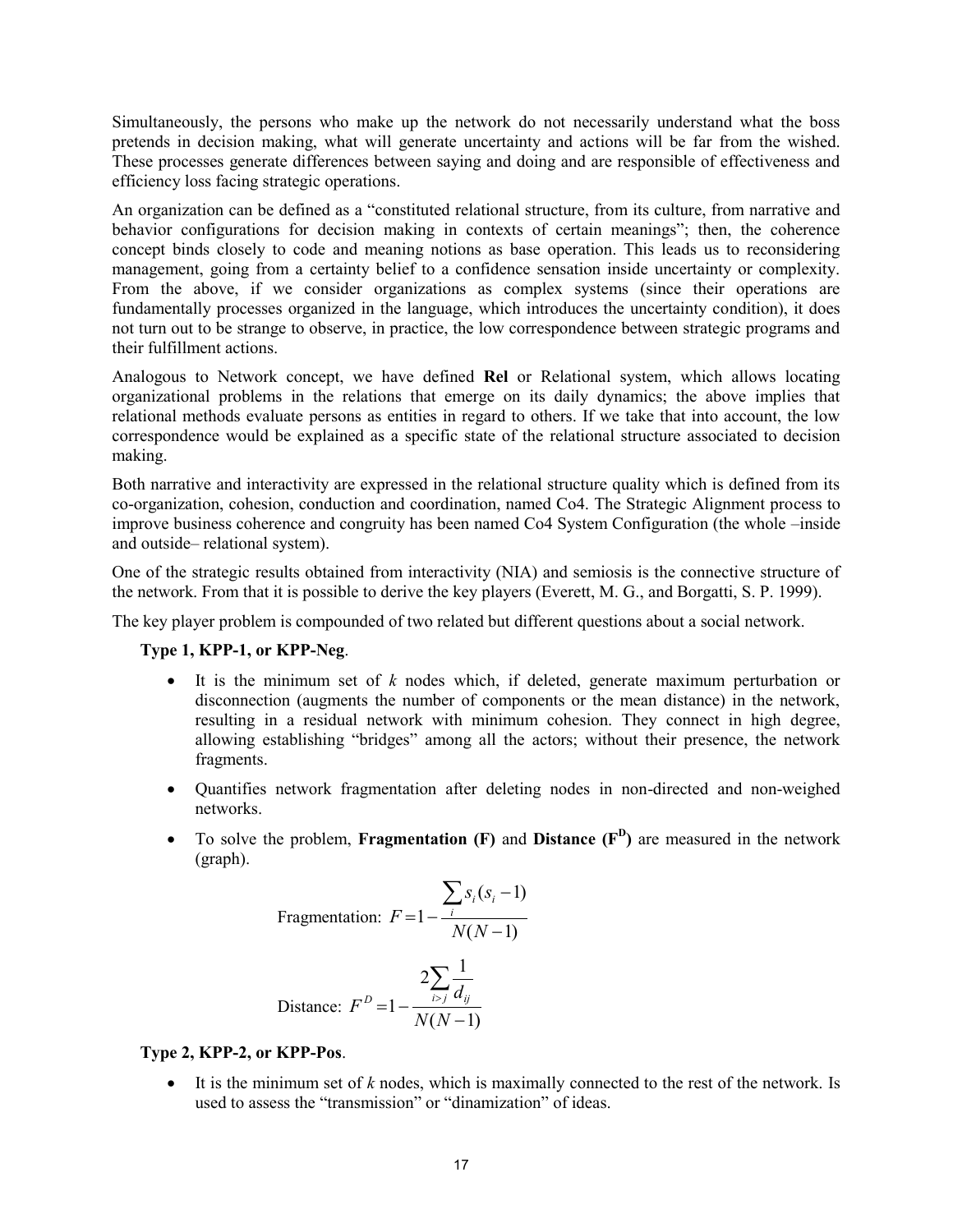Simultaneously, the persons who make up the network do not necessarily understand what the boss pretends in decision making, what will generate uncertainty and actions will be far from the wished. These processes generate differences between saying and doing and are responsible of effectiveness and efficiency loss facing strategic operations.

An organization can be defined as a "constituted relational structure, from its culture, from narrative and behavior configurations for decision making in contexts of certain meanings"; then, the coherence concept binds closely to code and meaning notions as base operation. This leads us to reconsidering management, going from a certainty belief to a confidence sensation inside uncertainty or complexity. From the above, if we consider organizations as complex systems (since their operations are fundamentally processes organized in the language, which introduces the uncertainty condition), it does not turn out to be strange to observe, in practice, the low correspondence between strategic programs and their fulfillment actions.

Analogous to Network concept, we have defined **Rel** or Relational system, which allows locating organizational problems in the relations that emerge on its daily dynamics; the above implies that relational methods evaluate persons as entities in regard to others. If we take that into account, the low correspondence would be explained as a specific state of the relational structure associated to decision making.

Both narrative and interactivity are expressed in the relational structure quality which is defined from its co-organization, cohesion, conduction and coordination, named Co4. The Strategic Alignment process to improve business coherence and congruity has been named Co4 System Configuration (the whole –inside and outside– relational system).

One of the strategic results obtained from interactivity (NIA) and semiosis is the connective structure of the network. From that it is possible to derive the key players (Everett, M. G., and Borgatti, S. P. 1999).

The key player problem is compounded of two related but different questions about a social network.

## **Type 1, KPP-1, or KPP-Neg**.

- It is the minimum set of *k* nodes which, if deleted, generate maximum perturbation or disconnection (augments the number of components or the mean distance) in the network, resulting in a residual network with minimum cohesion. They connect in high degree, allowing establishing "bridges" among all the actors; without their presence, the network fragments.
- Quantifies network fragmentation after deleting nodes in non-directed and non-weighed networks.
- To solve the problem, **Fragmentation** (F) and **Distance** ( $F<sup>D</sup>$ ) are measured in the network (graph).

Fragmentation: 
$$
F = 1 - \frac{\sum_{i} s_i (s_i - 1)}{N(N-1)}
$$

\nDistance: 
$$
F^D = 1 - \frac{2 \sum_{i > j} \frac{1}{d_{ij}}}{N(N-1)}
$$

#### **Type 2, KPP-2, or KPP-Pos**.

 It is the minimum set of *k* nodes, which is maximally connected to the rest of the network. Is used to assess the "transmission" or "dinamization" of ideas.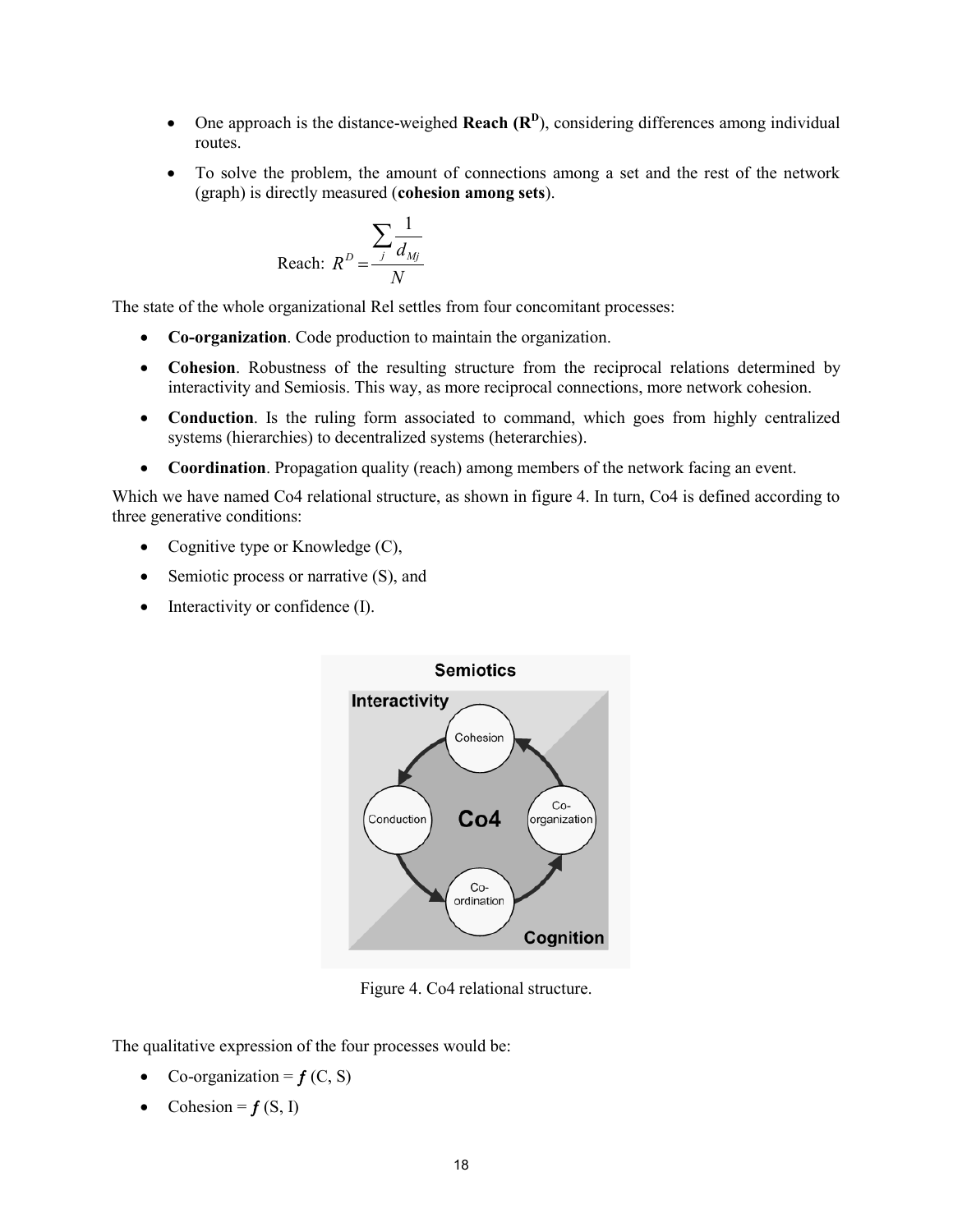- One approach is the distance-weighed **Reach**  $(\mathbb{R}^D)$ , considering differences among individual routes.
- To solve the problem, the amount of connections among a set and the rest of the network (graph) is directly measured (**cohesion among sets**).

$$
\text{Reach: } R^D = \frac{\sum_{j} \frac{1}{d_{Mj}}}{N}
$$

The state of the whole organizational Rel settles from four concomitant processes:

- **Co-organization**. Code production to maintain the organization.
- **Cohesion**. Robustness of the resulting structure from the reciprocal relations determined by interactivity and Semiosis. This way, as more reciprocal connections, more network cohesion.
- **Conduction**. Is the ruling form associated to command, which goes from highly centralized systems (hierarchies) to decentralized systems (heterarchies).
- **Coordination**. Propagation quality (reach) among members of the network facing an event.

Which we have named Co4 relational structure, as shown in figure 4. In turn, Co4 is defined according to three generative conditions:

- Cognitive type or Knowledge  $(C)$ ,
- Semiotic process or narrative (S), and
- Interactivity or confidence (I).



Figure 4. Co4 relational structure.

The qualitative expression of the four processes would be:

- Co-organization =  $f(C, S)$
- Cohesion =  $f(S, I)$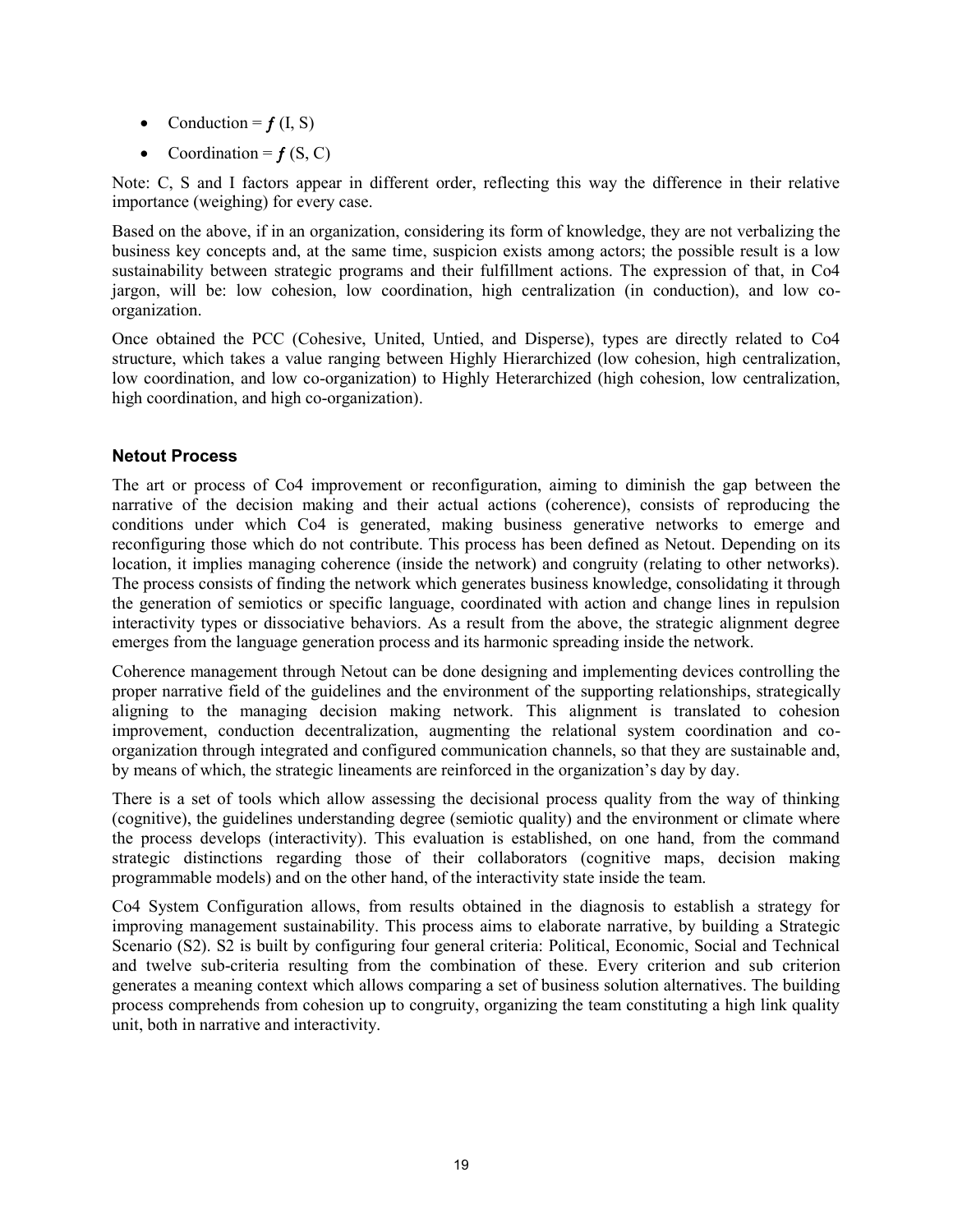- Conduction =  $f(I, S)$
- Coordination =  $f(S, C)$

Note: C, S and I factors appear in different order, reflecting this way the difference in their relative importance (weighing) for every case.

Based on the above, if in an organization, considering its form of knowledge, they are not verbalizing the business key concepts and, at the same time, suspicion exists among actors; the possible result is a low sustainability between strategic programs and their fulfillment actions. The expression of that, in Co4 jargon, will be: low cohesion, low coordination, high centralization (in conduction), and low coorganization.

Once obtained the PCC (Cohesive, United, Untied, and Disperse), types are directly related to Co4 structure, which takes a value ranging between Highly Hierarchized (low cohesion, high centralization, low coordination, and low co-organization) to Highly Heterarchized (high cohesion, low centralization, high coordination, and high co-organization).

## **Netout Process**

The art or process of Co4 improvement or reconfiguration, aiming to diminish the gap between the narrative of the decision making and their actual actions (coherence), consists of reproducing the conditions under which Co4 is generated, making business generative networks to emerge and reconfiguring those which do not contribute. This process has been defined as Netout. Depending on its location, it implies managing coherence (inside the network) and congruity (relating to other networks). The process consists of finding the network which generates business knowledge, consolidating it through the generation of semiotics or specific language, coordinated with action and change lines in repulsion interactivity types or dissociative behaviors. As a result from the above, the strategic alignment degree emerges from the language generation process and its harmonic spreading inside the network.

Coherence management through Netout can be done designing and implementing devices controlling the proper narrative field of the guidelines and the environment of the supporting relationships, strategically aligning to the managing decision making network. This alignment is translated to cohesion improvement, conduction decentralization, augmenting the relational system coordination and coorganization through integrated and configured communication channels, so that they are sustainable and, by means of which, the strategic lineaments are reinforced in the organization's day by day.

There is a set of tools which allow assessing the decisional process quality from the way of thinking (cognitive), the guidelines understanding degree (semiotic quality) and the environment or climate where the process develops (interactivity). This evaluation is established, on one hand, from the command strategic distinctions regarding those of their collaborators (cognitive maps, decision making programmable models) and on the other hand, of the interactivity state inside the team.

Co4 System Configuration allows, from results obtained in the diagnosis to establish a strategy for improving management sustainability. This process aims to elaborate narrative, by building a Strategic Scenario (S2). S2 is built by configuring four general criteria: Political, Economic, Social and Technical and twelve sub-criteria resulting from the combination of these. Every criterion and sub criterion generates a meaning context which allows comparing a set of business solution alternatives. The building process comprehends from cohesion up to congruity, organizing the team constituting a high link quality unit, both in narrative and interactivity.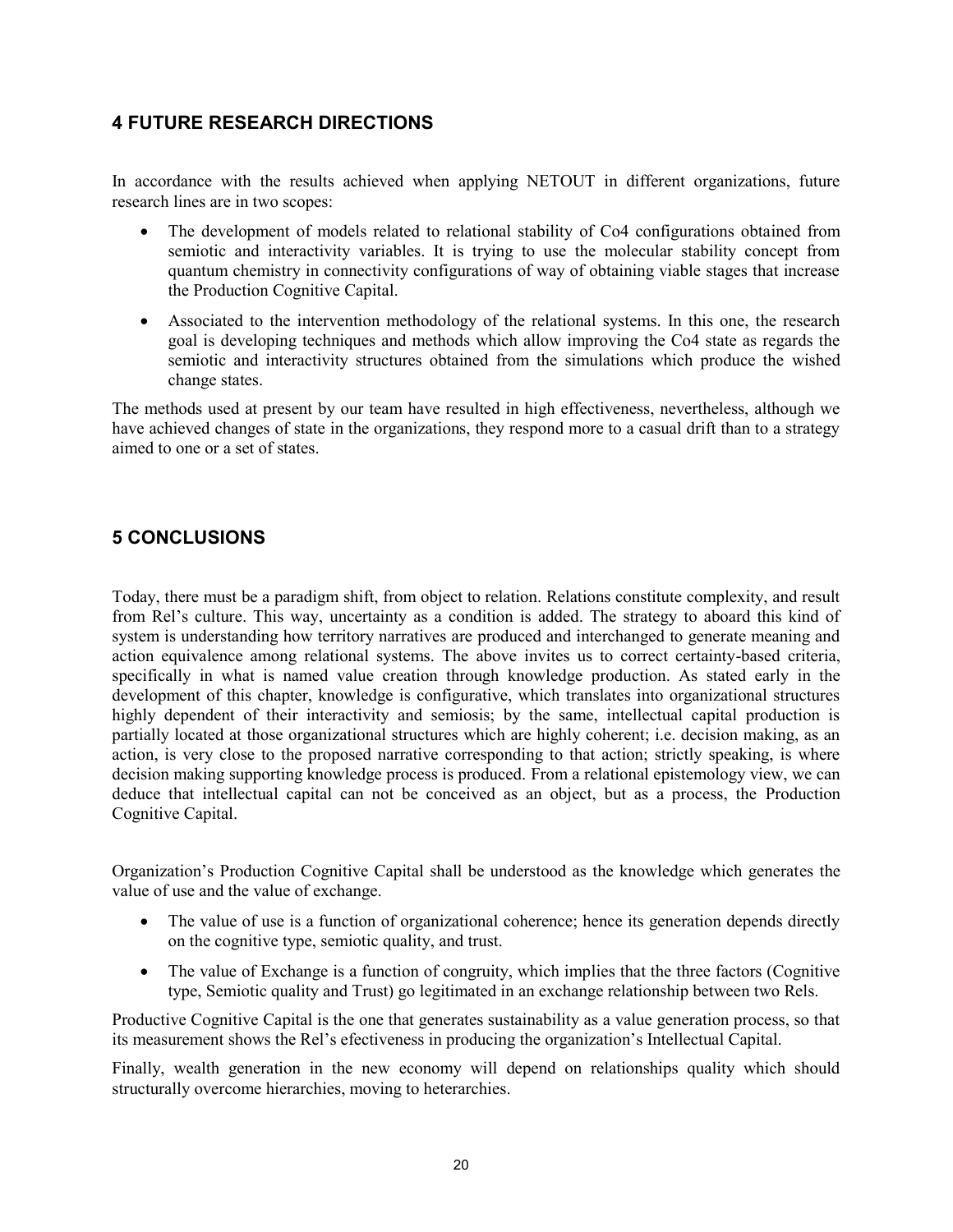# **4 FUTURE RESEARCH DIRECTIONS**

In accordance with the results achieved when applying NETOUT in different organizations, future research lines are in two scopes:

- The development of models related to relational stability of Co4 configurations obtained from semiotic and interactivity variables. It is trying to use the molecular stability concept from quantum chemistry in connectivity configurations of way of obtaining viable stages that increase the Production Cognitive Capital.
- Associated to the intervention methodology of the relational systems. In this one, the research goal is developing techniques and methods which allow improving the Co4 state as regards the semiotic and interactivity structures obtained from the simulations which produce the wished change states.

The methods used at present by our team have resulted in high effectiveness, nevertheless, although we have achieved changes of state in the organizations, they respond more to a casual drift than to a strategy aimed to one or a set of states.

# **5 CONCLUSIONS**

Today, there must be a paradigm shift, from object to relation. Relations constitute complexity, and result from Rel's culture. This way, uncertainty as a condition is added. The strategy to aboard this kind of system is understanding how territory narratives are produced and interchanged to generate meaning and action equivalence among relational systems. The above invites us to correct certainty-based criteria, specifically in what is named value creation through knowledge production. As stated early in the development of this chapter, knowledge is configurative, which translates into organizational structures highly dependent of their interactivity and semiosis; by the same, intellectual capital production is partially located at those organizational structures which are highly coherent; i.e. decision making, as an action, is very close to the proposed narrative corresponding to that action; strictly speaking, is where decision making supporting knowledge process is produced. From a relational epistemology view, we can deduce that intellectual capital can not be conceived as an object, but as a process, the Production Cognitive Capital.

Organization's Production Cognitive Capital shall be understood as the knowledge which generates the value of use and the value of exchange.

- The value of use is a function of organizational coherence; hence its generation depends directly on the cognitive type, semiotic quality, and trust.
- The value of Exchange is a function of congruity, which implies that the three factors (Cognitive type, Semiotic quality and Trust) go legitimated in an exchange relationship between two Rels.

Productive Cognitive Capital is the one that generates sustainability as a value generation process, so that its measurement shows the Rel's efectiveness in producing the organization's Intellectual Capital.

Finally, wealth generation in the new economy will depend on relationships quality which should structurally overcome hierarchies, moving to heterarchies.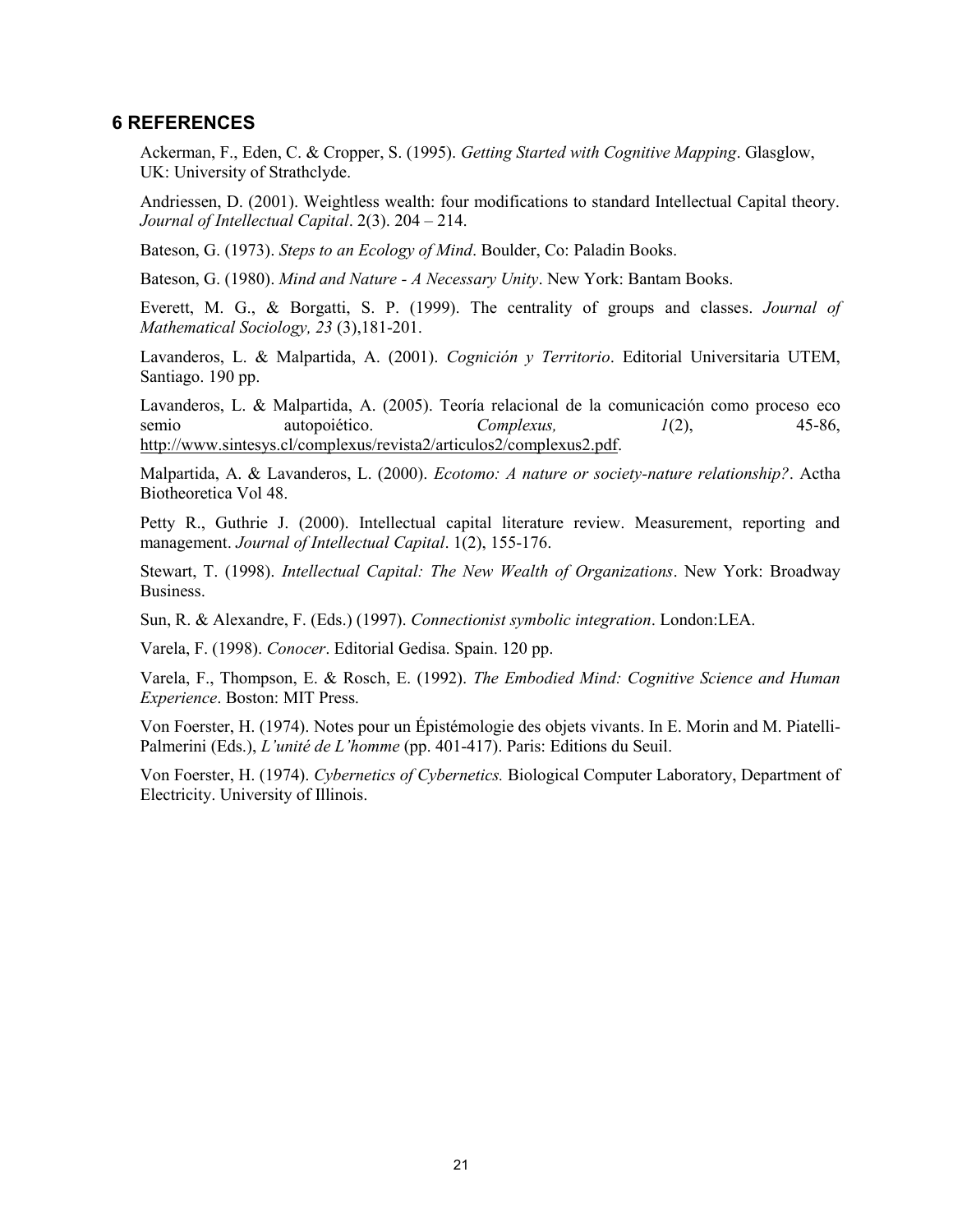#### **6 REFERENCES**

Ackerman, F., Eden, C. & Cropper, S. (1995). *Getting Started with Cognitive Mapping*. Glasglow, UK: University of Strathclyde.

Andriessen, D. (2001). Weightless wealth: four modifications to standard Intellectual Capital theory. *Journal of Intellectual Capital*. 2(3). 204 – 214.

Bateson, G. (1973). *Steps to an Ecology of Mind*. Boulder, Co: Paladin Books.

Bateson, G. (1980). *Mind and Nature - A Necessary Unity*. New York: Bantam Books.

Everett, M. G., & Borgatti, S. P. (1999). The centrality of groups and classes. *Journal of Mathematical Sociology, 23* (3),181-201.

Lavanderos, L. & Malpartida, A. (2001). *Cognición y Territorio*. Editorial Universitaria UTEM, Santiago. 190 pp.

Lavanderos, L. & Malpartida, A. (2005). Teoría relacional de la comunicación como proceso eco semio autopoiético. *Complexus, 1*(2), 45-86, [http://www.sintesys.cl/complexus/revista2/articulos2/complexus2.pdf.](http://www.sintesys.cl/complexus/revista2/articulos2/complexus2.pdf)

Malpartida, A. & Lavanderos, L. (2000). *Ecotomo: A nature or society-nature relationship?*. Actha Biotheoretica Vol 48.

Petty R., Guthrie J. (2000). Intellectual capital literature review. Measurement, reporting and management. *Journal of Intellectual Capital*. 1(2), 155-176.

Stewart, T. (1998). *Intellectual Capital: The New Wealth of Organizations*. New York: Broadway Business.

Sun, R. & Alexandre, F. (Eds.) (1997). *Connectionist symbolic integration*. London:LEA.

Varela, F. (1998). *Conocer*. Editorial Gedisa. Spain. 120 pp.

Varela, F., Thompson, E. & Rosch, E. (1992). *The Embodied Mind: Cognitive Science and Human Experience*. Boston: MIT Press.

Von Foerster, H. (1974). Notes pour un Épistémologie des objets vivants. In E. Morin and M. Piatelli-Palmerini (Eds.), *L'unité de L'homme* (pp. 401-417). Paris: Editions du Seuil.

Von Foerster, H. (1974). *Cybernetics of Cybernetics.* Biological Computer Laboratory, Department of Electricity. University of Illinois.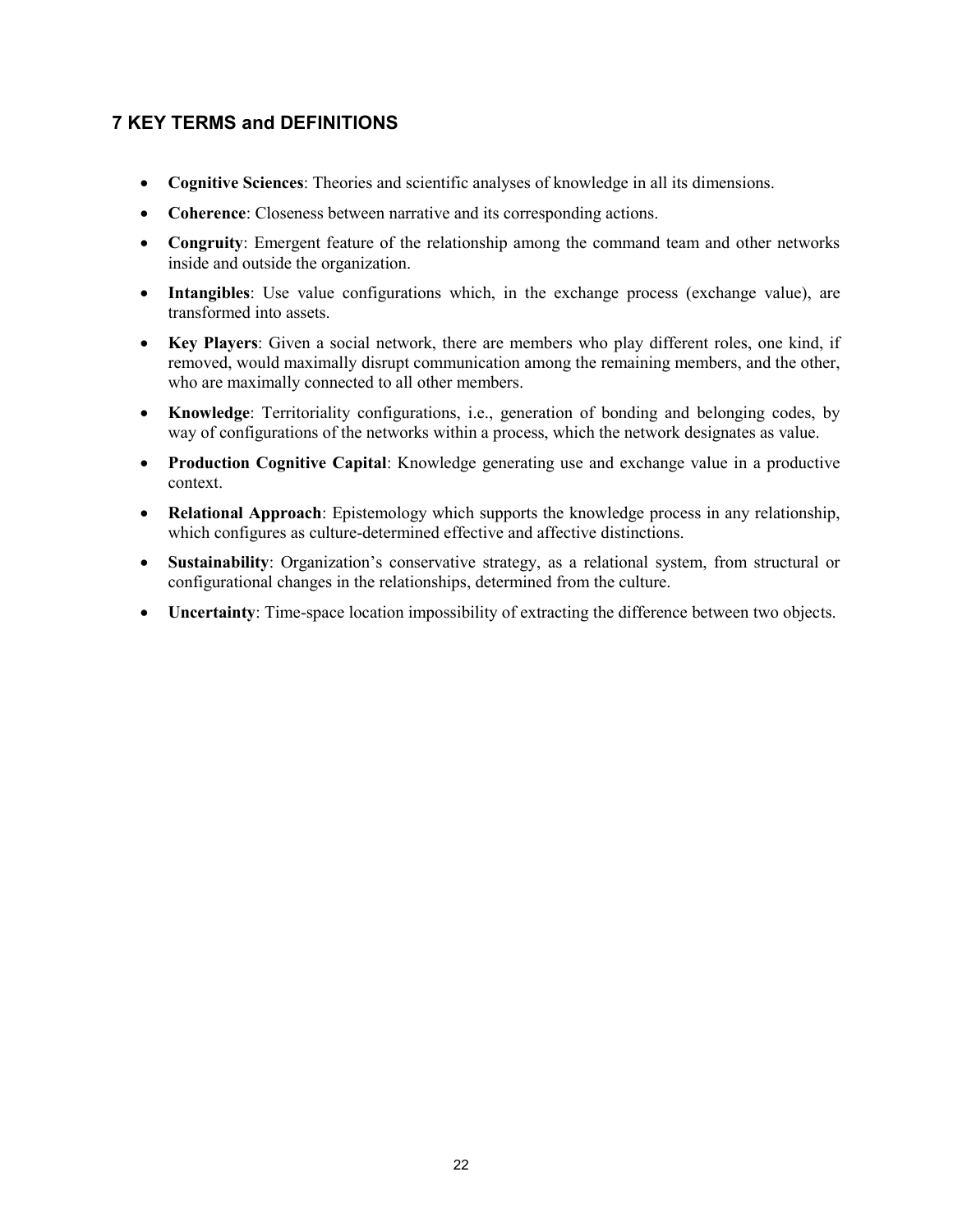# **7 KEY TERMS and DEFINITIONS**

- **Cognitive Sciences**: Theories and scientific analyses of knowledge in all its dimensions.
- **Coherence**: Closeness between narrative and its corresponding actions.
- **Congruity**: Emergent feature of the relationship among the command team and other networks inside and outside the organization.
- **Intangibles**: Use value configurations which, in the exchange process (exchange value), are transformed into assets.
- **Key Players**: Given a social network, there are members who play different roles, one kind, if removed, would maximally disrupt communication among the remaining members, and the other, who are maximally connected to all other members.
- **Knowledge**: Territoriality configurations, i.e., generation of bonding and belonging codes, by way of configurations of the networks within a process, which the network designates as value.
- **Production Cognitive Capital**: Knowledge generating use and exchange value in a productive context.
- **Relational Approach**: Epistemology which supports the knowledge process in any relationship, which configures as culture-determined effective and affective distinctions.
- **Sustainability**: Organization's conservative strategy, as a relational system, from structural or configurational changes in the relationships, determined from the culture.
- **Uncertainty**: Time-space location impossibility of extracting the difference between two objects.